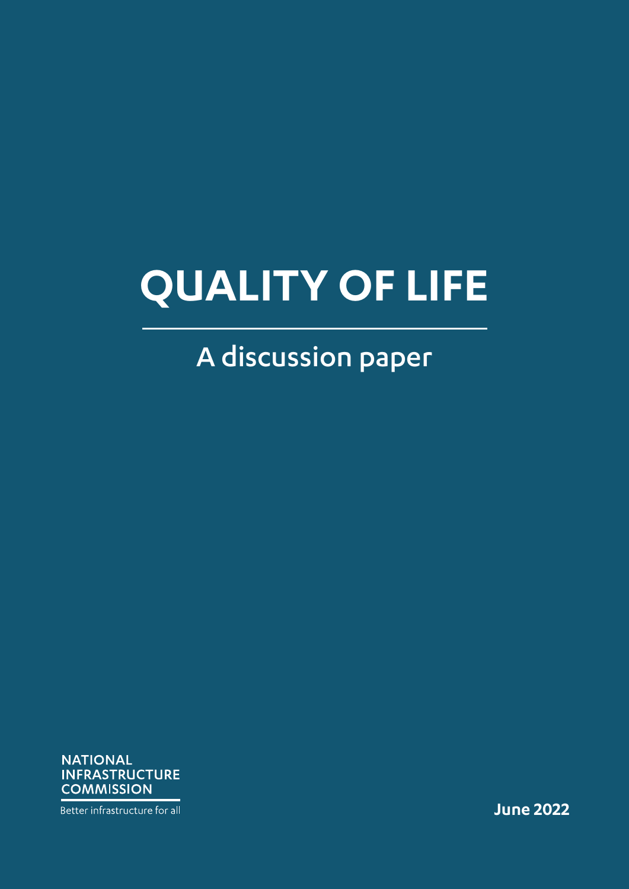# **QUALITY OF LIFE**

## A discussion paper

**NATIONAL INFRASTRUCTURE COMMISSION** 

Better infrastructure for all

**June 2022**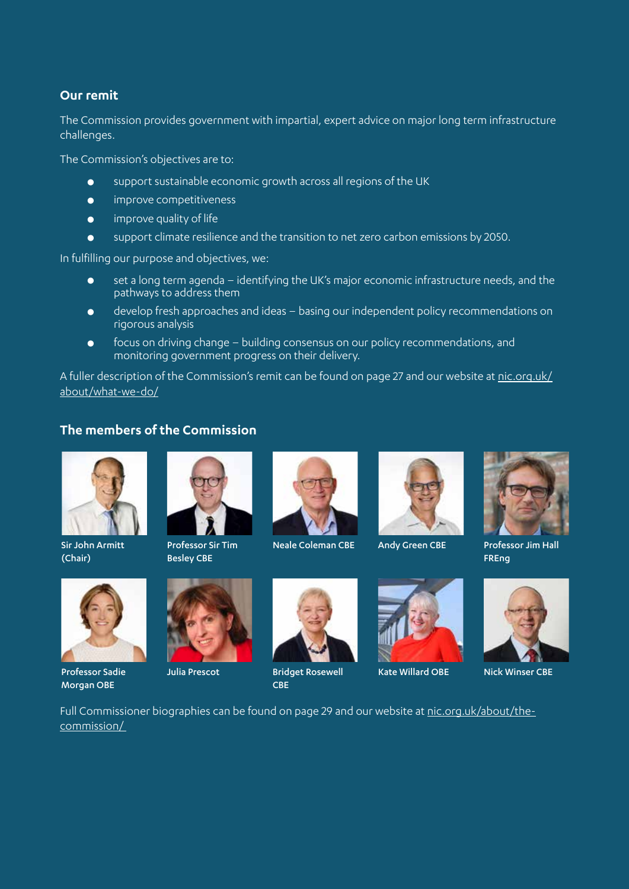#### **Our remit**

The Commission provides government with impartial, expert advice on major long term infrastructure challenges.

The Commission's objectives are to:

- support sustainable economic growth across all regions of the UK
- **•** improve competitiveness
- $\bullet$  improve quality of life
- $\bullet$  support climate resilience and the transition to net zero carbon emissions by 2050.

In fulfilling our purpose and objectives, we:

- set a long term agenda identifying the UK's major economic infrastructure needs, and the pathways to address them
- **•** develop fresh approaches and ideas basing our independent policy recommendations on rigorous analysis
- $\bullet$  focus on driving change building consensus on our policy recommendations, and monitoring government progress on their delivery.

A fuller description of the Commission's remit can be found on page 27 and our website at [nic.org.uk/](https://nic.org.uk/about/what-we-do/) [about/what-we-do/](https://nic.org.uk/about/what-we-do/)

#### **The members of the Commission**



Sir John Armitt (Chair)



Professor Sadie Morgan OBE



Professor Sir Tim Besley CBE





Neale Coleman CBE Andy Green CBE Professor Jim Hall



Julia Prescot Bridget Rosewell CBE



Andy Green CBE





FREng



Kate Willard OBE Nick Winser CBE

Full Commissioner biographies can be found on page 29 and our website at [nic.org.uk/about/the](https://nic.org.uk/about/the-commission/)[commis](https://nic.org.uk/about/the-commission/)sion/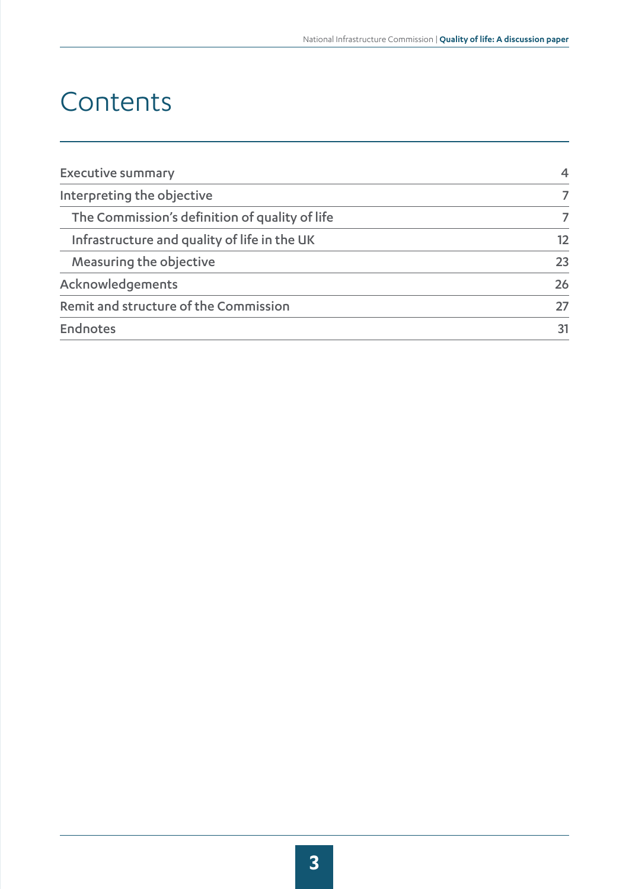## Contents

| <b>Executive summary</b>                       | $\overline{4}$ |
|------------------------------------------------|----------------|
| Interpreting the objective                     |                |
| The Commission's definition of quality of life |                |
| Infrastructure and quality of life in the UK   | 12             |
| Measuring the objective                        | 23             |
| Acknowledgements                               | 26             |
| Remit and structure of the Commission          | 27             |
| Endnotes                                       | 31             |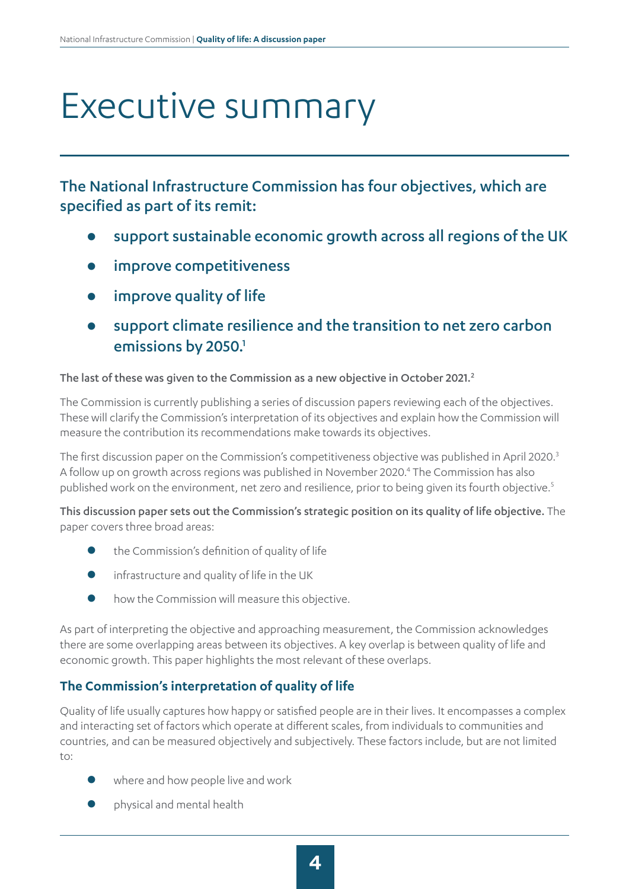# <span id="page-3-0"></span>Executive summary

The National Infrastructure Commission has four objectives, which are specified as part of its remit:

- z support sustainable economic growth across all regions of the UK
- improve competitiveness
- improve quality of life
- support climate resilience and the transition to net zero carbon emissions by 2050.<sup>1</sup>

#### The last of these was given to the Commission as a new objective in October 2021.<sup>2</sup>

The Commission is currently publishing a series of discussion papers reviewing each of the objectives. These will clarify the Commission's interpretation of its objectives and explain how the Commission will measure the contribution its recommendations make towards its objectives.

The first discussion paper on the Commission's competitiveness objective was published in April 2020.<sup>3</sup> A follow up on growth across regions was published in November 2020.<sup>4</sup> The Commission has also published work on the environment, net zero and resilience, prior to being given its fourth objective.<sup>5</sup>

This discussion paper sets out the Commission's strategic position on its quality of life objective. The paper covers three broad areas:

- the Commission's definition of quality of life
- infrastructure and quality of life in the UK
- how the Commission will measure this objective.

As part of interpreting the objective and approaching measurement, the Commission acknowledges there are some overlapping areas between its objectives. A key overlap is between quality of life and economic growth. This paper highlights the most relevant of these overlaps.

#### **The Commission's interpretation of quality of life**

Quality of life usually captures how happy or satisfied people are in their lives. It encompasses a complex and interacting set of factors which operate at different scales, from individuals to communities and countries, and can be measured objectively and subjectively. These factors include, but are not limited to:

- where and how people live and work
- physical and mental health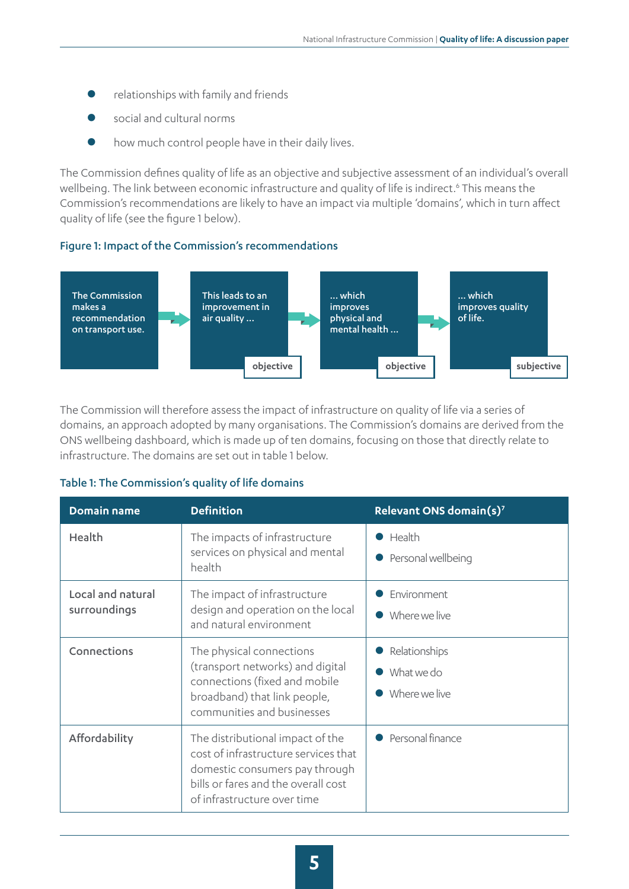- relationships with family and friends
- social and cultural norms
- how much control people have in their daily lives.

The Commission defines quality of life as an objective and subjective assessment of an individual's overall wellbeing. The link between economic infrastructure and quality of life is indirect.<sup>6</sup> This means the Commission's recommendations are likely to have an impact via multiple 'domains', which in turn affect quality of life (see the figure 1 below).

#### Figure 1: Impact of the Commission's recommendations



The Commission will therefore assess the impact of infrastructure on quality of life via a series of domains, an approach adopted by many organisations. The Commission's domains are derived from the ONS wellbeing dashboard, which is made up of ten domains, focusing on those that directly relate to infrastructure. The domains are set out in table 1 below.

#### Table 1: The Commission's quality of life domains

| Domain name                       | <b>Definition</b>                                                                                                                                                                | Relevant ONS domain(s) <sup>7</sup>          |
|-----------------------------------|----------------------------------------------------------------------------------------------------------------------------------------------------------------------------------|----------------------------------------------|
| Health                            | The impacts of infrastructure<br>services on physical and mental<br>health                                                                                                       | Health<br>Personal wellbeing                 |
| Local and natural<br>surroundings | The impact of infrastructure<br>design and operation on the local<br>and natural environment                                                                                     | Environment<br>Where we live                 |
| Connections                       | The physical connections<br>(transport networks) and digital<br>connections (fixed and mobile<br>broadband) that link people,<br>communities and businesses                      | Relationships<br>What we do<br>Where we live |
| Affordability                     | The distributional impact of the<br>cost of infrastructure services that<br>domestic consumers pay through<br>bills or fares and the overall cost<br>of infrastructure over time | Personal finance                             |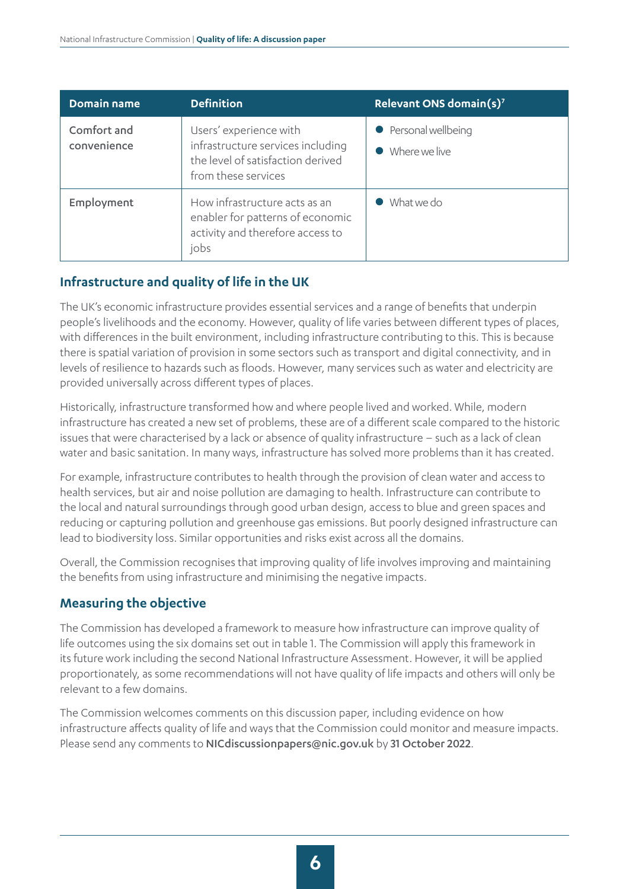| <b>Domain name</b>         | <b>Definition</b>                                                                                                       | Relevant ONS domain(s) <sup>7</sup>   |
|----------------------------|-------------------------------------------------------------------------------------------------------------------------|---------------------------------------|
| Comfort and<br>convenience | Users' experience with<br>infrastructure services including<br>the level of satisfaction derived<br>from these services | • Personal wellbeing<br>Where we live |
| Employment                 | How infrastructure acts as an<br>enabler for patterns of economic<br>activity and therefore access to<br>jobs           | What we do                            |

#### **Infrastructure and quality of life in the UK**

The UK's economic infrastructure provides essential services and a range of benefits that underpin people's livelihoods and the economy. However, quality of life varies between different types of places, with differences in the built environment, including infrastructure contributing to this. This is because there is spatial variation of provision in some sectors such as transport and digital connectivity, and in levels of resilience to hazards such as floods. However, many services such as water and electricity are provided universally across different types of places.

Historically, infrastructure transformed how and where people lived and worked. While, modern infrastructure has created a new set of problems, these are of a different scale compared to the historic issues that were characterised by a lack or absence of quality infrastructure – such as a lack of clean water and basic sanitation. In many ways, infrastructure has solved more problems than it has created.

For example, infrastructure contributes to health through the provision of clean water and access to health services, but air and noise pollution are damaging to health. Infrastructure can contribute to the local and natural surroundings through good urban design, access to blue and green spaces and reducing or capturing pollution and greenhouse gas emissions. But poorly designed infrastructure can lead to biodiversity loss. Similar opportunities and risks exist across all the domains.

Overall, the Commission recognises that improving quality of life involves improving and maintaining the benefits from using infrastructure and minimising the negative impacts.

#### **Measuring the objective**

The Commission has developed a framework to measure how infrastructure can improve quality of life outcomes using the six domains set out in table 1. The Commission will apply this framework in its future work including the second National Infrastructure Assessment. However, it will be applied proportionately, as some recommendations will not have quality of life impacts and others will only be relevant to a few domains.

The Commission welcomes comments on this discussion paper, including evidence on how infrastructure affects quality of life and ways that the Commission could monitor and measure impacts. Please send any comments to [NICdiscussionpapers@nic.gov.uk](mailto:NICdiscussionpapers%40nic.gov.uk?subject=Quality%20of%20Life%20paper) by 31 October 2022.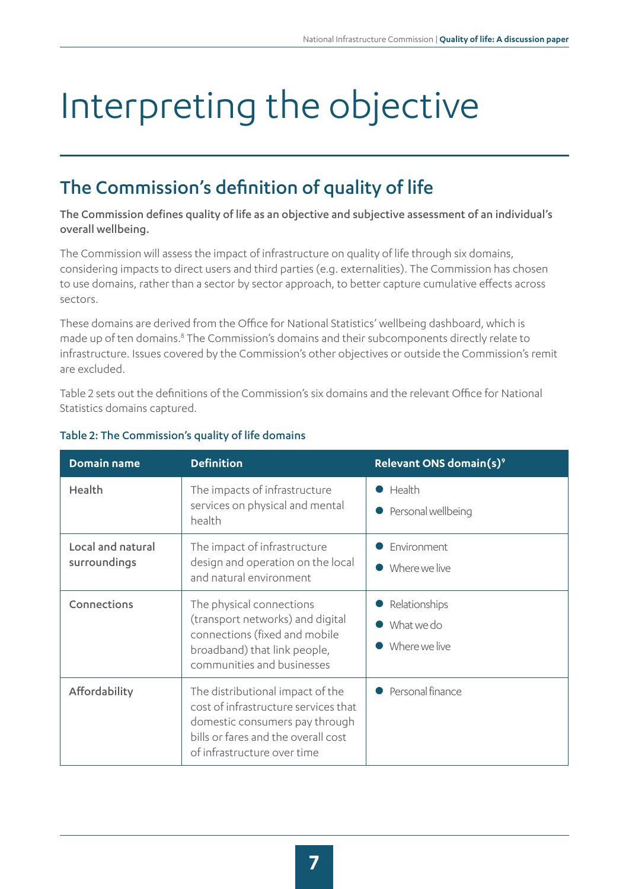# <span id="page-6-0"></span>Interpreting the objective

### The Commission's definition of quality of life

The Commission defines quality of life as an objective and subjective assessment of an individual's overall wellbeing.

The Commission will assess the impact of infrastructure on quality of life through six domains, considering impacts to direct users and third parties (e.g. externalities). The Commission has chosen to use domains, rather than a sector by sector approach, to better capture cumulative effects across sectors.

These domains are derived from the Office for National Statistics' wellbeing dashboard, which is made up of ten domains.<sup>8</sup> The Commission's domains and their subcomponents directly relate to infrastructure. Issues covered by the Commission's other objectives or outside the Commission's remit are excluded.

Table 2 sets out the definitions of the Commission's six domains and the relevant Office for National Statistics domains captured.

| Domain name                       | <b>Definition</b>                                                                                                                                                                | Relevant ONS domain(s) <sup>9</sup>          |
|-----------------------------------|----------------------------------------------------------------------------------------------------------------------------------------------------------------------------------|----------------------------------------------|
| Health                            | The impacts of infrastructure<br>services on physical and mental<br>health                                                                                                       | Health<br>Personal wellbeing                 |
| Local and natural<br>surroundings | The impact of infrastructure<br>design and operation on the local<br>and natural environment                                                                                     | Environment<br>Where we live                 |
| Connections                       | The physical connections<br>(transport networks) and digital<br>connections (fixed and mobile<br>broadband) that link people,<br>communities and businesses                      | Relationships<br>What we do<br>Where we live |
| Affordability                     | The distributional impact of the<br>cost of infrastructure services that<br>domestic consumers pay through<br>bills or fares and the overall cost<br>of infrastructure over time | Personal finance                             |

#### Table 2: The Commission's quality of life domains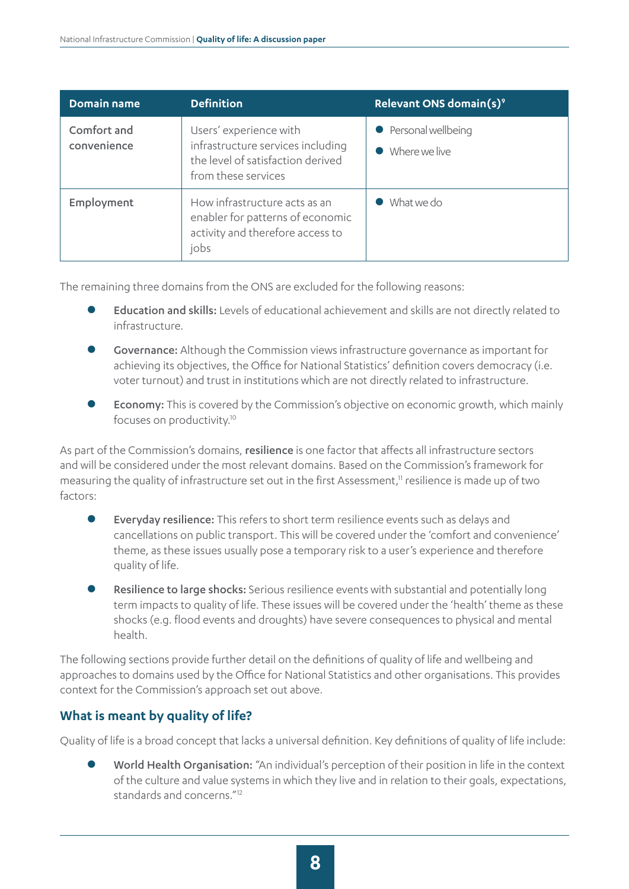| <b>Domain name</b>         | <b>Definition</b>                                                                                                       | Relevant ONS domain(s) <sup>9</sup>   |
|----------------------------|-------------------------------------------------------------------------------------------------------------------------|---------------------------------------|
| Comfort and<br>convenience | Users' experience with<br>infrastructure services including<br>the level of satisfaction derived<br>from these services | • Personal wellbeing<br>Where we live |
| Employment                 | How infrastructure acts as an<br>enabler for patterns of economic<br>activity and therefore access to<br>jobs           | What we do                            |

The remaining three domains from the ONS are excluded for the following reasons:

- Education and skills: Levels of educational achievement and skills are not directly related to infrastructure.
- Governance: Although the Commission views infrastructure governance as important for achieving its objectives, the Office for National Statistics' definition covers democracy (i.e. voter turnout) and trust in institutions which are not directly related to infrastructure.
- Economy: This is covered by the Commission's objective on economic growth, which mainly focuses on productivity.<sup>10</sup>

As part of the Commission's domains, resilience is one factor that affects all infrastructure sectors and will be considered under the most relevant domains. Based on the Commission's framework for measuring the quality of infrastructure set out in the first Assessment, $\frac{1}{1}$  resilience is made up of two factors:

- Everyday resilience: This refers to short term resilience events such as delays and cancellations on public transport. This will be covered under the 'comfort and convenience' theme, as these issues usually pose a temporary risk to a user's experience and therefore quality of life.
- Resilience to large shocks: Serious resilience events with substantial and potentially long term impacts to quality of life. These issues will be covered under the 'health' theme as these shocks (e.g. flood events and droughts) have severe consequences to physical and mental health.

The following sections provide further detail on the definitions of quality of life and wellbeing and approaches to domains used by the Office for National Statistics and other organisations. This provides context for the Commission's approach set out above.

#### **What is meant by quality of life?**

Quality of life is a broad concept that lacks a universal definition. Key definitions of quality of life include:

World Health Organisation: "An individual's perception of their position in life in the context of the culture and value systems in which they live and in relation to their goals, expectations, standards and concerns."12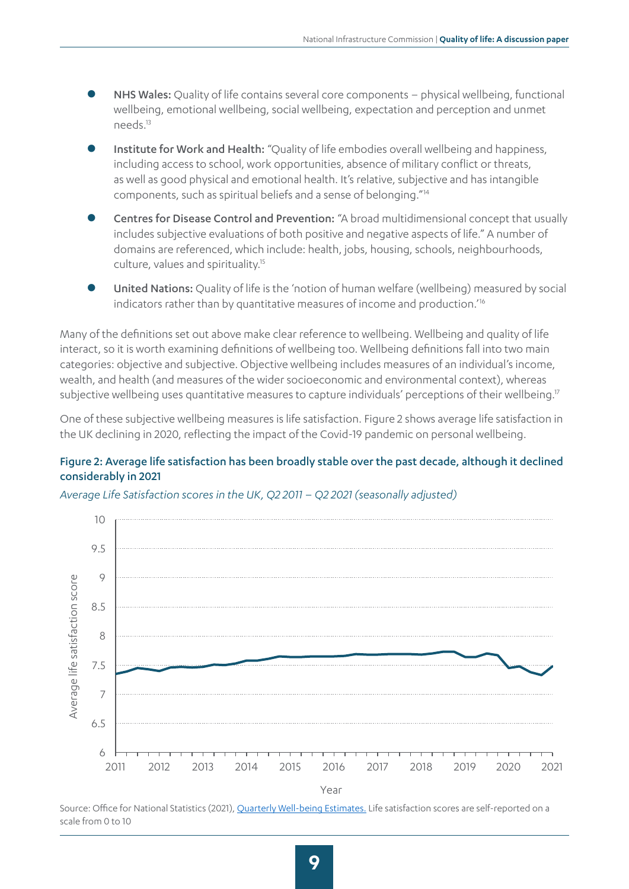- NHS Wales: Quality of life contains several core components physical wellbeing, functional wellbeing, emotional wellbeing, social wellbeing, expectation and perception and unmet needs.13
- Institute for Work and Health: "Quality of life embodies overall wellbeing and happiness, including access to school, work opportunities, absence of military conflict or threats, as well as good physical and emotional health. It's relative, subjective and has intangible components, such as spiritual beliefs and a sense of belonging."14
- z Centres for Disease Control and Prevention: "A broad multidimensional concept that usually includes subjective evaluations of both positive and negative aspects of life." A number of domains are referenced, which include: health, jobs, housing, schools, neighbourhoods, culture, values and spirituality.15
- United Nations: Quality of life is the 'notion of human welfare (wellbeing) measured by social indicators rather than by quantitative measures of income and production.<sup>'16</sup>

Many of the definitions set out above make clear reference to wellbeing. Wellbeing and quality of life interact, so it is worth examining definitions of wellbeing too. Wellbeing definitions fall into two main categories: objective and subjective. Objective wellbeing includes measures of an individual's income, wealth, and health (and measures of the wider socioeconomic and environmental context), whereas subjective wellbeing uses quantitative measures to capture individuals' perceptions of their wellbeing.<sup>17</sup>

One of these subjective wellbeing measures is life satisfaction. Figure 2 shows average life satisfaction in the UK declining in 2020, reflecting the impact of the Covid-19 pandemic on personal wellbeing.

#### Figure 2: Average life satisfaction has been broadly stable over the past decade, although it declined considerably in 2021

*Average Life Satisfaction scores in the UK, Q2 2011 – Q2 2021 (seasonally adjusted)*



Source: Office for National Statistics (2021), [Quarterly Well-being Estimates](https://www.ons.gov.uk/peoplepopulationandcommunity/wellbeing/datasets/headlineestimatesofpersonalwellbeing). Life satisfaction scores are self-reported on a scale from 0 to 10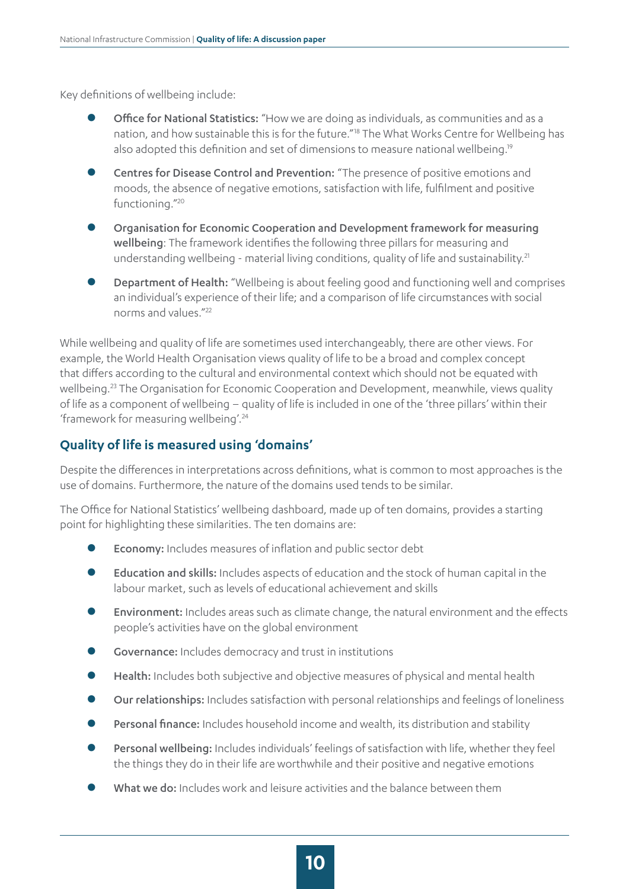Key definitions of wellbeing include:

- Office for National Statistics: "How we are doing as individuals, as communities and as a nation, and how sustainable this is for the future."18 The What Works Centre for Wellbeing has also adopted this definition and set of dimensions to measure national wellbeing.19
- Centres for Disease Control and Prevention: "The presence of positive emotions and moods, the absence of negative emotions, satisfaction with life, fulfilment and positive functioning."20
- Organisation for Economic Cooperation and Development framework for measuring wellbeing: The framework identifies the following three pillars for measuring and understanding wellbeing - material living conditions, quality of life and sustainability.<sup>21</sup>
- Department of Health: "Wellbeing is about feeling good and functioning well and comprises an individual's experience of their life; and a comparison of life circumstances with social norms and values."22

While wellbeing and quality of life are sometimes used interchangeably, there are other views. For example, the World Health Organisation views quality of life to be a broad and complex concept that differs according to the cultural and environmental context which should not be equated with wellbeing.23 The Organisation for Economic Cooperation and Development, meanwhile, views quality of life as a component of wellbeing – quality of life is included in one of the 'three pillars' within their 'framework for measuring wellbeing'.24

#### **Quality of life is measured using 'domains'**

Despite the differences in interpretations across definitions, what is common to most approaches is the use of domains. Furthermore, the nature of the domains used tends to be similar.

The Office for National Statistics' wellbeing dashboard, made up of ten domains, provides a starting point for highlighting these similarities. The ten domains are:

- Economy: Includes measures of inflation and public sector debt
- Education and skills: Includes aspects of education and the stock of human capital in the labour market, such as levels of educational achievement and skills
- **Environment:** Includes areas such as climate change, the natural environment and the effects people's activities have on the global environment
- **Governance:** Includes democracy and trust in institutions
- Health: Includes both subjective and objective measures of physical and mental health
- z Our relationships: Includes satisfaction with personal relationships and feelings of loneliness
- Personal finance: Includes household income and wealth, its distribution and stability
- Personal wellbeing: Includes individuals' feelings of satisfaction with life, whether they feel the things they do in their life are worthwhile and their positive and negative emotions
- What we do: Includes work and leisure activities and the balance between them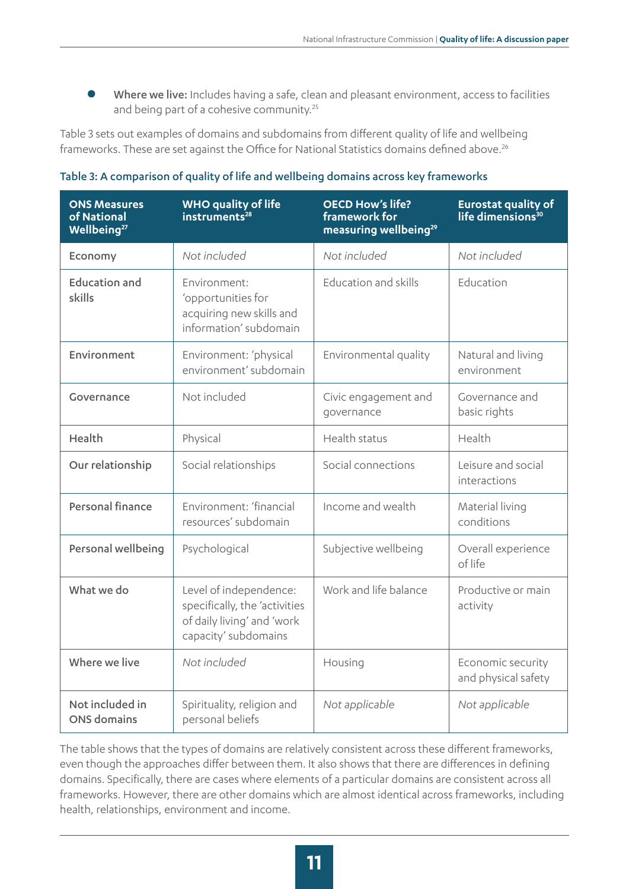**• Where we live:** Includes having a safe, clean and pleasant environment, access to facilities and being part of a cohesive community.<sup>25</sup>

Table 3 sets out examples of domains and subdomains from different quality of life and wellbeing frameworks. These are set against the Office for National Statistics domains defined above.<sup>26</sup>

| <b>ONS Measures</b><br>of National<br>Wellbeing <sup>27</sup> | <b>WHO quality of life</b><br>instruments <sup>28</sup>                                                       | <b>OECD How's life?</b><br>framework for<br>measuring wellbeing <sup>29</sup> | <b>Eurostat quality of</b><br>life dimensions <sup>30</sup> |
|---------------------------------------------------------------|---------------------------------------------------------------------------------------------------------------|-------------------------------------------------------------------------------|-------------------------------------------------------------|
| Economy                                                       | Not included                                                                                                  | Not included                                                                  | Not included                                                |
| <b>Education and</b><br>skills                                | Fnvironment:<br>'opportunities for<br>acquiring new skills and<br>information' subdomain                      | Education and skills                                                          | Education                                                   |
| Environment                                                   | Environment: 'physical<br>environment' subdomain                                                              | Environmental quality                                                         | Natural and living<br>environment                           |
| Governance                                                    | Not included                                                                                                  | Civic engagement and<br>governance                                            | Governance and<br>basic rights                              |
| Health                                                        | Physical                                                                                                      | Health status                                                                 | Health                                                      |
| Our relationship                                              | Social relationships                                                                                          | Social connections                                                            | Leisure and social<br>interactions                          |
| Personal finance                                              | Environment: 'financial<br>resources' subdomain                                                               | Income and wealth                                                             | Material living<br>conditions                               |
| Personal wellbeing                                            | Psychological                                                                                                 | Subjective wellbeing                                                          | Overall experience<br>of life                               |
| What we do                                                    | Level of independence:<br>specifically, the 'activities<br>of daily living' and 'work<br>capacity' subdomains | Work and life balance                                                         | Productive or main<br>activity                              |
| Where we live                                                 | Not included                                                                                                  | Housing                                                                       | Economic security<br>and physical safety                    |
| Not included in<br><b>ONS</b> domains                         | Spirituality, religion and<br>personal beliefs                                                                | Not applicable                                                                | Not applicable                                              |

#### Table 3: A comparison of quality of life and wellbeing domains across key frameworks

The table shows that the types of domains are relatively consistent across these different frameworks, even though the approaches differ between them. It also shows that there are differences in defining domains. Specifically, there are cases where elements of a particular domains are consistent across all frameworks. However, there are other domains which are almost identical across frameworks, including health, relationships, environment and income.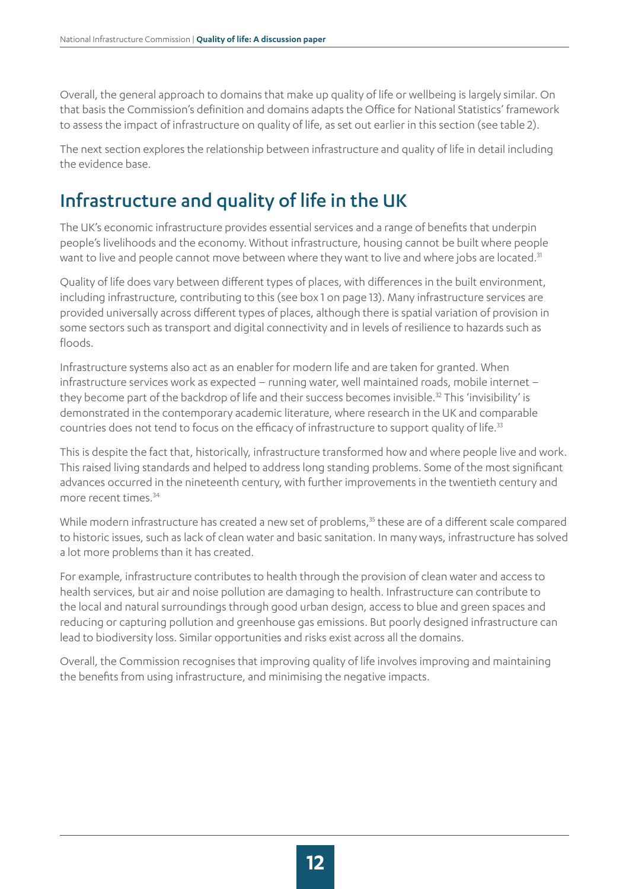<span id="page-11-0"></span>Overall, the general approach to domains that make up quality of life or wellbeing is largely similar. On that basis the Commission's definition and domains adapts the Office for National Statistics' framework to assess the impact of infrastructure on quality of life, as set out earlier in this section (see table 2).

The next section explores the relationship between infrastructure and quality of life in detail including the evidence base.

### Infrastructure and quality of life in the UK

The UK's economic infrastructure provides essential services and a range of benefits that underpin people's livelihoods and the economy. Without infrastructure, housing cannot be built where people want to live and people cannot move between where they want to live and where jobs are located.<sup>31</sup>

Quality of life does vary between different types of places, with differences in the built environment, including infrastructure, contributing to this (see box 1 on page 13). Many infrastructure services are provided universally across different types of places, although there is spatial variation of provision in some sectors such as transport and digital connectivity and in levels of resilience to hazards such as floods.

Infrastructure systems also act as an enabler for modern life and are taken for granted. When infrastructure services work as expected – running water, well maintained roads, mobile internet – they become part of the backdrop of life and their success becomes invisible.<sup>32</sup> This 'invisibility' is demonstrated in the contemporary academic literature, where research in the UK and comparable countries does not tend to focus on the efficacy of infrastructure to support quality of life.<sup>33</sup>

This is despite the fact that, historically, infrastructure transformed how and where people live and work. This raised living standards and helped to address long standing problems. Some of the most significant advances occurred in the nineteenth century, with further improvements in the twentieth century and more recent times 34

While modern infrastructure has created a new set of problems,<sup>35</sup> these are of a different scale compared to historic issues, such as lack of clean water and basic sanitation. In many ways, infrastructure has solved a lot more problems than it has created.

For example, infrastructure contributes to health through the provision of clean water and access to health services, but air and noise pollution are damaging to health. Infrastructure can contribute to the local and natural surroundings through good urban design, access to blue and green spaces and reducing or capturing pollution and greenhouse gas emissions. But poorly designed infrastructure can lead to biodiversity loss. Similar opportunities and risks exist across all the domains.

Overall, the Commission recognises that improving quality of life involves improving and maintaining the benefits from using infrastructure, and minimising the negative impacts.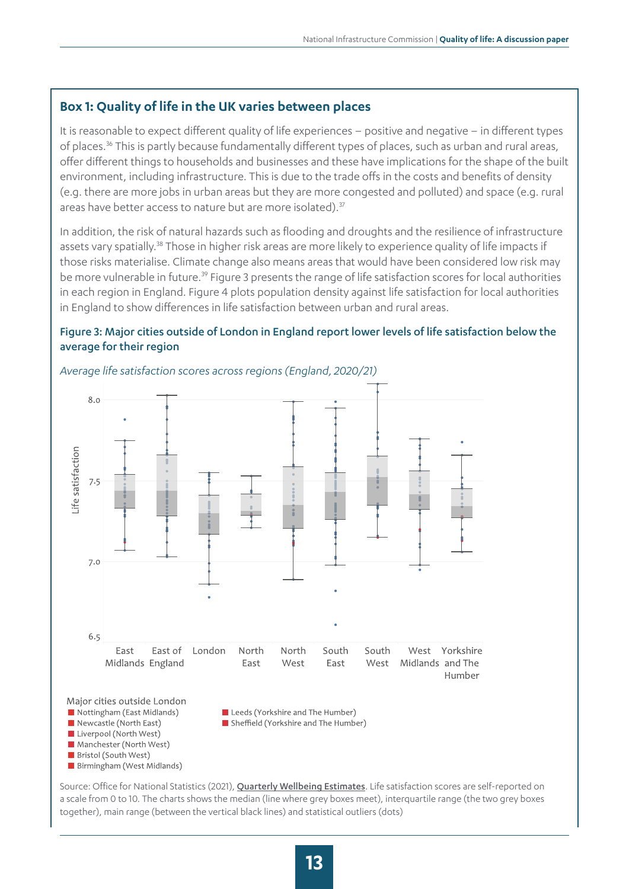#### **Box 1: Quality of life in the UK varies between places**

It is reasonable to expect different quality of life experiences – positive and negative – in different types of places.<sup>36</sup> This is partly because fundamentally different types of places, such as urban and rural areas, offer different things to households and businesses and these have implications for the shape of the built environment, including infrastructure. This is due to the trade offs in the costs and benefits of density (e.g. there are more jobs in urban areas but they are more congested and polluted) and space (e.g. rural areas have better access to nature but are more isolated).<sup>37</sup>

In addition, the risk of natural hazards such as flooding and droughts and the resilience of infrastructure assets vary spatially.<sup>38</sup> Those in higher risk areas are more likely to experience quality of life impacts if those risks materialise. Climate change also means areas that would have been considered low risk may be more vulnerable in future.<sup>39</sup> Figure 3 presents the range of life satisfaction scores for local authorities in each region in England. Figure 4 plots population density against life satisfaction for local authorities in England to show differences in life satisfaction between urban and rural areas.

#### Figure 3: Major cities outside of London in England report lower levels of life satisfaction below the average for their region



#### *Average life satisfaction scores across regions (England, 2020/21)*

Newcastle (North East) Liverpool (North West) Manchester (North West) Bristol (South West) Birmingham (West Midlands)

Source: Office for National Statistics (2021), [Quarterly Wellbeing Estimates](https://www.ons.gov.uk/peoplepopulationandcommunity/wellbeing/datasets/headlineestimatesofpersonalwellbeing). Life satisfaction scores are self-reported on a scale from 0 to 10. The charts shows the median (line where grey boxes meet), interquartile range (the two grey boxes together), main range (between the vertical black lines) and statistical outliers (dots)

Sheffield (Yorkshire and The Humber)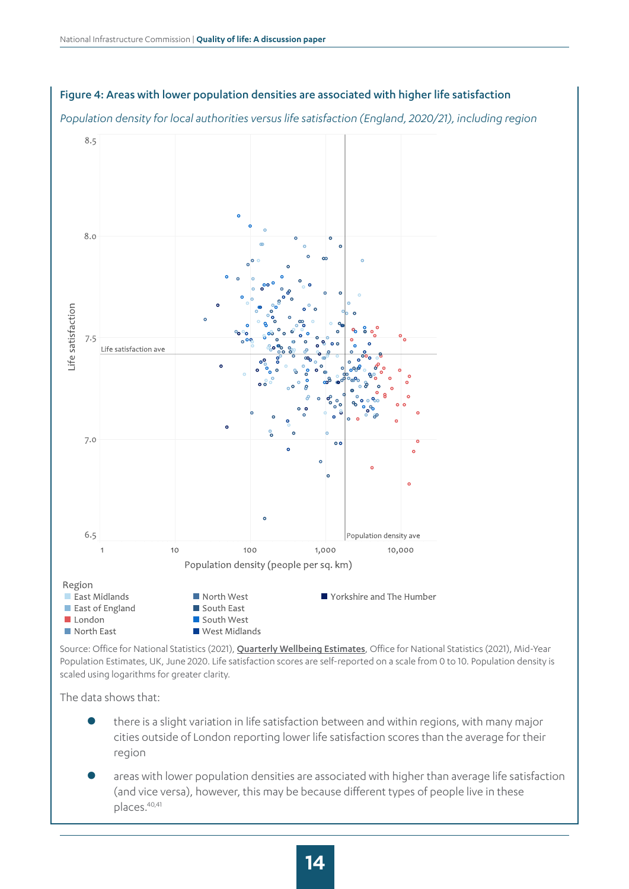

#### Figure 4: Areas with lower population densities are associated with higher life satisfaction

Source: Office for National Statistics (2021), [Quarterly Wellbeing Estimates](https://www.ons.gov.uk/peoplepopulationandcommunity/wellbeing/datasets/headlineestimatesofpersonalwellbeing), Office for National Statistics (2021), Mid-Year [Population Estimates, UK, June 2020](https://www.ons.gov.uk/peoplepopulationandcommunity/populationandmigration/populationestimates/datasets/populationestimatesforukenglandandwalesscotlandandnorthernireland). Life satisfaction scores are self-reported on a scale from 0 to 10. Population density is scaled using logarithms for greater clarity.

The data shows that:

- there is a slight variation in life satisfaction between and within regions, with many major cities outside of London reporting lower life satisfaction scores than the average for their region
- areas with lower population densities are associated with higher than average life satisfaction (and vice versa), however, this may be because different types of people live in these places.40,41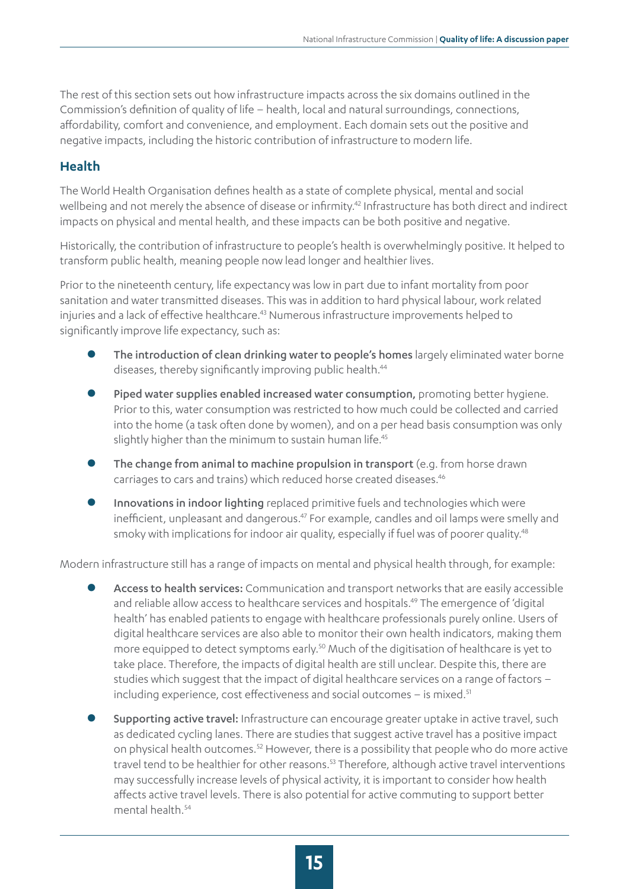The rest of this section sets out how infrastructure impacts across the six domains outlined in the Commission's definition of quality of life – health, local and natural surroundings, connections, affordability, comfort and convenience, and employment. Each domain sets out the positive and negative impacts, including the historic contribution of infrastructure to modern life.

#### **Health**

The World Health Organisation defines health as a state of complete physical, mental and social wellbeing and not merely the absence of disease or infirmity.<sup>42</sup> Infrastructure has both direct and indirect impacts on physical and mental health, and these impacts can be both positive and negative.

Historically, the contribution of infrastructure to people's health is overwhelmingly positive. It helped to transform public health, meaning people now lead longer and healthier lives.

Prior to the nineteenth century, life expectancy was low in part due to infant mortality from poor sanitation and water transmitted diseases. This was in addition to hard physical labour, work related injuries and a lack of effective healthcare.<sup>43</sup> Numerous infrastructure improvements helped to significantly improve life expectancy, such as:

- The introduction of clean drinking water to people's homes largely eliminated water borne diseases, thereby significantly improving public health.<sup>44</sup>
- Piped water supplies enabled increased water consumption, promoting better hygiene. Prior to this, water consumption was restricted to how much could be collected and carried into the home (a task often done by women), and on a per head basis consumption was only slightly higher than the minimum to sustain human life.<sup>45</sup>
- The change from animal to machine propulsion in transport (e.g. from horse drawn carriages to cars and trains) which reduced horse created diseases.<sup>46</sup>
- Innovations in indoor lighting replaced primitive fuels and technologies which were inefficient, unpleasant and dangerous.<sup>47</sup> For example, candles and oil lamps were smelly and smoky with implications for indoor air quality, especially if fuel was of poorer quality.<sup>48</sup>

Modern infrastructure still has a range of impacts on mental and physical health through, for example:

- Access to health services: Communication and transport networks that are easily accessible and reliable allow access to healthcare services and hospitals.<sup>49</sup> The emergence of 'digital health' has enabled patients to engage with healthcare professionals purely online. Users of digital healthcare services are also able to monitor their own health indicators, making them more equipped to detect symptoms early.<sup>50</sup> Much of the digitisation of healthcare is yet to take place. Therefore, the impacts of digital health are still unclear. Despite this, there are studies which suggest that the impact of digital healthcare services on a range of factors – including experience, cost effectiveness and social outcomes - is mixed.<sup>51</sup>
- Supporting active travel: Infrastructure can encourage greater uptake in active travel, such as dedicated cycling lanes. There are studies that suggest active travel has a positive impact on physical health outcomes.<sup>52</sup> However, there is a possibility that people who do more active travel tend to be healthier for other reasons.<sup>53</sup> Therefore, although active travel interventions may successfully increase levels of physical activity, it is important to consider how health affects active travel levels. There is also potential for active commuting to support better mental health.54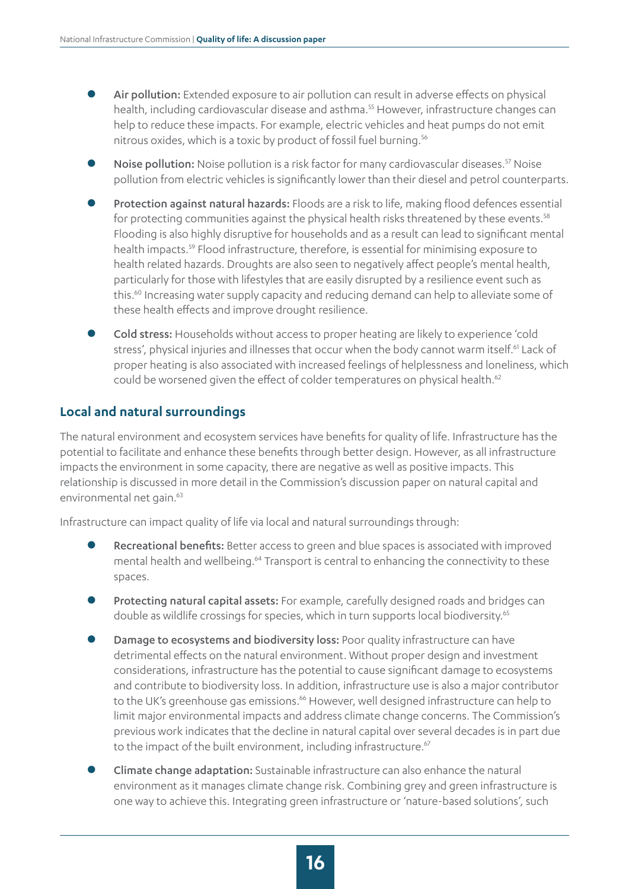- Air pollution: Extended exposure to air pollution can result in adverse effects on physical health, including cardiovascular disease and asthma.<sup>55</sup> However, infrastructure changes can help to reduce these impacts. For example, electric vehicles and heat pumps do not emit nitrous oxides, which is a toxic by product of fossil fuel burning.56
- Noise pollution: Noise pollution is a risk factor for many cardiovascular diseases.<sup>57</sup> Noise pollution from electric vehicles is significantly lower than their diesel and petrol counterparts.
- Protection against natural hazards: Floods are a risk to life, making flood defences essential for protecting communities against the physical health risks threatened by these events.<sup>58</sup> Flooding is also highly disruptive for households and as a result can lead to significant mental health impacts.59 Flood infrastructure, therefore, is essential for minimising exposure to health related hazards. Droughts are also seen to negatively affect people's mental health, particularly for those with lifestyles that are easily disrupted by a resilience event such as this.<sup>60</sup> Increasing water supply capacity and reducing demand can help to alleviate some of these health effects and improve drought resilience.
- Cold stress: Households without access to proper heating are likely to experience 'cold stress', physical injuries and illnesses that occur when the body cannot warm itself.<sup>61</sup> Lack of proper heating is also associated with increased feelings of helplessness and loneliness, which could be worsened given the effect of colder temperatures on physical health.<sup>62</sup>

#### **Local and natural surroundings**

The natural environment and ecosystem services have benefits for quality of life. Infrastructure has the potential to facilitate and enhance these benefits through better design. However, as all infrastructure impacts the environment in some capacity, there are negative as well as positive impacts. This relationship is discussed in more detail in the Commission's discussion paper on natural capital and environmental net gain.<sup>63</sup>

Infrastructure can impact quality of life via local and natural surroundings through:

- Recreational benefits: Better access to green and blue spaces is associated with improved mental health and wellbeing.<sup>64</sup> Transport is central to enhancing the connectivity to these spaces.
- Protecting natural capital assets: For example, carefully designed roads and bridges can double as wildlife crossings for species, which in turn supports local biodiversity.<sup>65</sup>
- Damage to ecosystems and biodiversity loss: Poor quality infrastructure can have detrimental effects on the natural environment. Without proper design and investment considerations, infrastructure has the potential to cause significant damage to ecosystems and contribute to biodiversity loss. In addition, infrastructure use is also a major contributor to the UK's greenhouse gas emissions.<sup>66</sup> However, well designed infrastructure can help to limit major environmental impacts and address climate change concerns. The Commission's previous work indicates that the decline in natural capital over several decades is in part due to the impact of the built environment, including infrastructure.<sup>67</sup>
- **Climate change adaptation:** Sustainable infrastructure can also enhance the natural environment as it manages climate change risk. Combining grey and green infrastructure is one way to achieve this. Integrating green infrastructure or 'nature-based solutions', such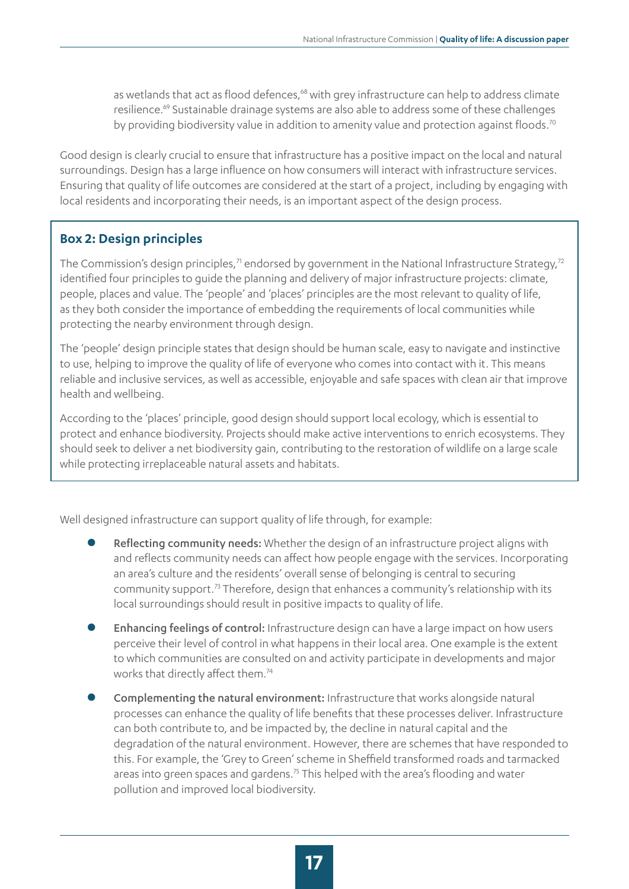as wetlands that act as flood defences,<sup>68</sup> with grey infrastructure can help to address climate resilience.<sup>69</sup> Sustainable drainage systems are also able to address some of these challenges by providing biodiversity value in addition to amenity value and protection against floods.<sup>70</sup>

Good design is clearly crucial to ensure that infrastructure has a positive impact on the local and natural surroundings. Design has a large influence on how consumers will interact with infrastructure services. Ensuring that quality of life outcomes are considered at the start of a project, including by engaging with local residents and incorporating their needs, is an important aspect of the design process.

#### **Box 2: Design principles**

The Commission's design principles, $^7$  endorsed by government in the National Infrastructure Strategy, $^{72}$ identified four principles to guide the planning and delivery of major infrastructure projects: climate, people, places and value. The 'people' and 'places' principles are the most relevant to quality of life, as they both consider the importance of embedding the requirements of local communities while protecting the nearby environment through design.

The 'people' design principle states that design should be human scale, easy to navigate and instinctive to use, helping to improve the quality of life of everyone who comes into contact with it. This means reliable and inclusive services, as well as accessible, enjoyable and safe spaces with clean air that improve health and wellbeing.

According to the 'places' principle, good design should support local ecology, which is essential to protect and enhance biodiversity. Projects should make active interventions to enrich ecosystems. They should seek to deliver a net biodiversity gain, contributing to the restoration of wildlife on a large scale while protecting irreplaceable natural assets and habitats.

Well designed infrastructure can support quality of life through, for example:

- Reflecting community needs: Whether the design of an infrastructure project aligns with and reflects community needs can affect how people engage with the services. Incorporating an area's culture and the residents' overall sense of belonging is central to securing community support.73 Therefore, design that enhances a community's relationship with its local surroundings should result in positive impacts to quality of life.
- Enhancing feelings of control: Infrastructure design can have a large impact on how users perceive their level of control in what happens in their local area. One example is the extent to which communities are consulted on and activity participate in developments and major works that directly affect them.<sup>74</sup>
- Complementing the natural environment: Infrastructure that works alongside natural processes can enhance the quality of life benefits that these processes deliver. Infrastructure can both contribute to, and be impacted by, the decline in natural capital and the degradation of the natural environment. However, there are schemes that have responded to this. For example, the 'Grey to Green' scheme in Sheffield transformed roads and tarmacked areas into green spaces and gardens.<sup>75</sup> This helped with the area's flooding and water pollution and improved local biodiversity.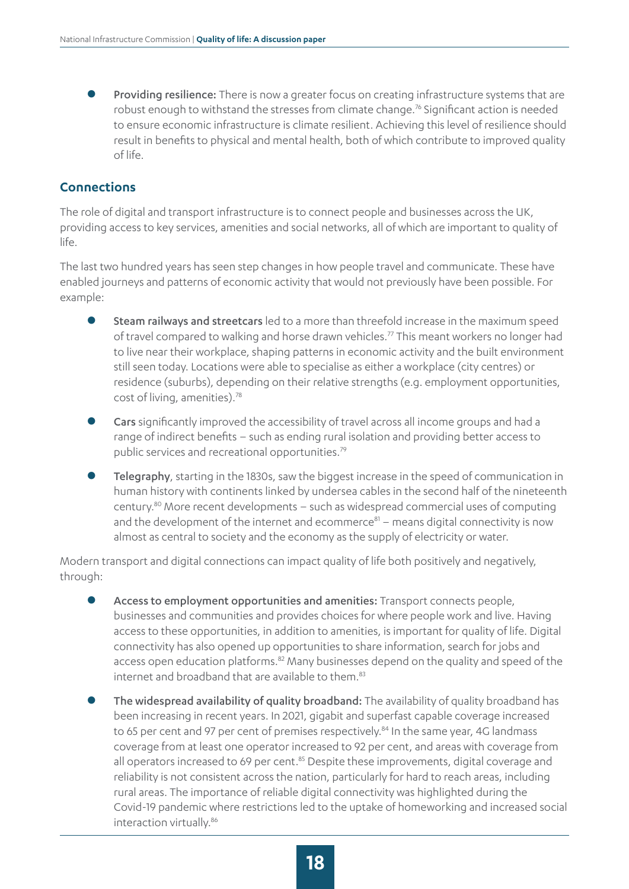Providing resilience: There is now a greater focus on creating infrastructure systems that are robust enough to withstand the stresses from climate change.<sup>76</sup> Significant action is needed to ensure economic infrastructure is climate resilient. Achieving this level of resilience should result in benefits to physical and mental health, both of which contribute to improved quality of life.

#### **Connections**

The role of digital and transport infrastructure is to connect people and businesses across the UK, providing access to key services, amenities and social networks, all of which are important to quality of life.

The last two hundred years has seen step changes in how people travel and communicate. These have enabled journeys and patterns of economic activity that would not previously have been possible. For example:

- Steam railways and streetcars led to a more than threefold increase in the maximum speed of travel compared to walking and horse drawn vehicles.77 This meant workers no longer had to live near their workplace, shaping patterns in economic activity and the built environment still seen today. Locations were able to specialise as either a workplace (city centres) or residence (suburbs), depending on their relative strengths (e.g. employment opportunities, cost of living, amenities).<sup>78</sup>
- Cars significantly improved the accessibility of travel across all income groups and had a range of indirect benefits – such as ending rural isolation and providing better access to public services and recreational opportunities.<sup>79</sup>
- Telegraphy, starting in the 1830s, saw the biggest increase in the speed of communication in human history with continents linked by undersea cables in the second half of the nineteenth century.80 More recent developments – such as widespread commercial uses of computing and the development of the internet and ecommerce $81 -$  means digital connectivity is now almost as central to society and the economy as the supply of electricity or water.

Modern transport and digital connections can impact quality of life both positively and negatively, through:

- Access to employment opportunities and amenities: Transport connects people, businesses and communities and provides choices for where people work and live. Having access to these opportunities, in addition to amenities, is important for quality of life. Digital connectivity has also opened up opportunities to share information, search for jobs and access open education platforms.<sup>82</sup> Many businesses depend on the quality and speed of the internet and broadband that are available to them.<sup>83</sup>
- The widespread availability of quality broadband: The availability of quality broadband has been increasing in recent years. In 2021, gigabit and superfast capable coverage increased to 65 per cent and 97 per cent of premises respectively.<sup>84</sup> In the same year, 4G landmass coverage from at least one operator increased to 92 per cent, and areas with coverage from all operators increased to 69 per cent.<sup>85</sup> Despite these improvements, digital coverage and reliability is not consistent across the nation, particularly for hard to reach areas, including rural areas. The importance of reliable digital connectivity was highlighted during the Covid-19 pandemic where restrictions led to the uptake of homeworking and increased social interaction virtually.<sup>86</sup>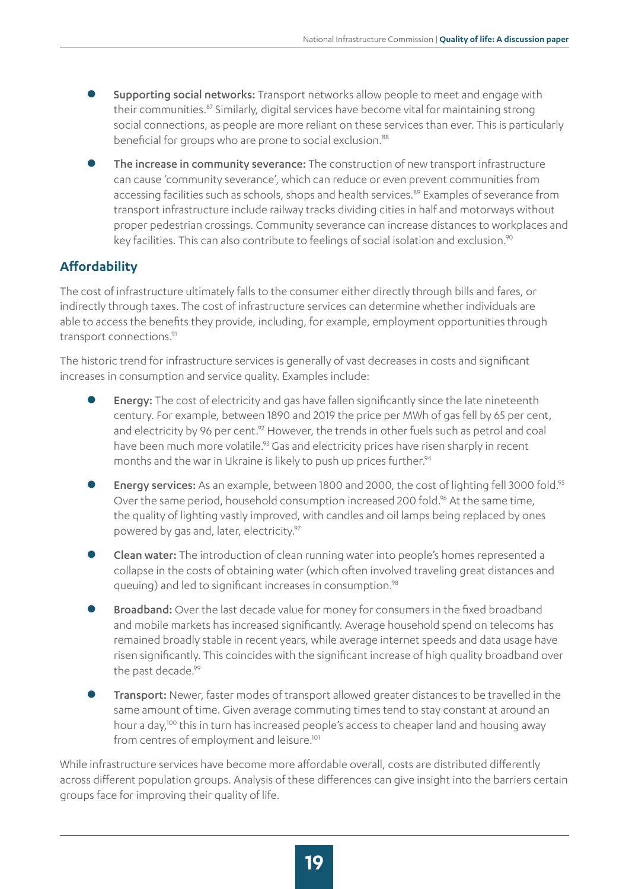- Supporting social networks: Transport networks allow people to meet and engage with their communities.<sup>87</sup> Similarly, digital services have become vital for maintaining strong social connections, as people are more reliant on these services than ever. This is particularly beneficial for groups who are prone to social exclusion.<sup>88</sup>
- The increase in community severance: The construction of new transport infrastructure can cause 'community severance', which can reduce or even prevent communities from accessing facilities such as schools, shops and health services.<sup>89</sup> Examples of severance from transport infrastructure include railway tracks dividing cities in half and motorways without proper pedestrian crossings. Community severance can increase distances to workplaces and key facilities. This can also contribute to feelings of social isolation and exclusion.<sup>90</sup>

#### **Affordability**

The cost of infrastructure ultimately falls to the consumer either directly through bills and fares, or indirectly through taxes. The cost of infrastructure services can determine whether individuals are able to access the benefits they provide, including, for example, employment opportunities through transport connections.<sup>91</sup>

The historic trend for infrastructure services is generally of vast decreases in costs and significant increases in consumption and service quality. Examples include:

- Energy: The cost of electricity and gas have fallen significantly since the late nineteenth century. For example, between 1890 and 2019 the price per MWh of gas fell by 65 per cent, and electricity by 96 per cent.<sup>92</sup> However, the trends in other fuels such as petrol and coal have been much more volatile.<sup>93</sup> Gas and electricity prices have risen sharply in recent months and the war in Ukraine is likely to push up prices further.<sup>94</sup>
- Energy services: As an example, between 1800 and 2000, the cost of lighting fell 3000 fold.<sup>95</sup> Over the same period, household consumption increased 200 fold.<sup>96</sup> At the same time, the quality of lighting vastly improved, with candles and oil lamps being replaced by ones powered by gas and, later, electricity.<sup>97</sup>
- Clean water: The introduction of clean running water into people's homes represented a collapse in the costs of obtaining water (which often involved traveling great distances and queuing) and led to significant increases in consumption.<sup>98</sup>
- Broadband: Over the last decade value for money for consumers in the fixed broadband and mobile markets has increased significantly. Average household spend on telecoms has remained broadly stable in recent years, while average internet speeds and data usage have risen significantly. This coincides with the significant increase of high quality broadband over the past decade.<sup>99</sup>
- Transport: Newer, faster modes of transport allowed greater distances to be travelled in the same amount of time. Given average commuting times tend to stay constant at around an hour a day,100 this in turn has increased people's access to cheaper land and housing away from centres of employment and leisure.<sup>101</sup>

While infrastructure services have become more affordable overall, costs are distributed differently across different population groups. Analysis of these differences can give insight into the barriers certain groups face for improving their quality of life.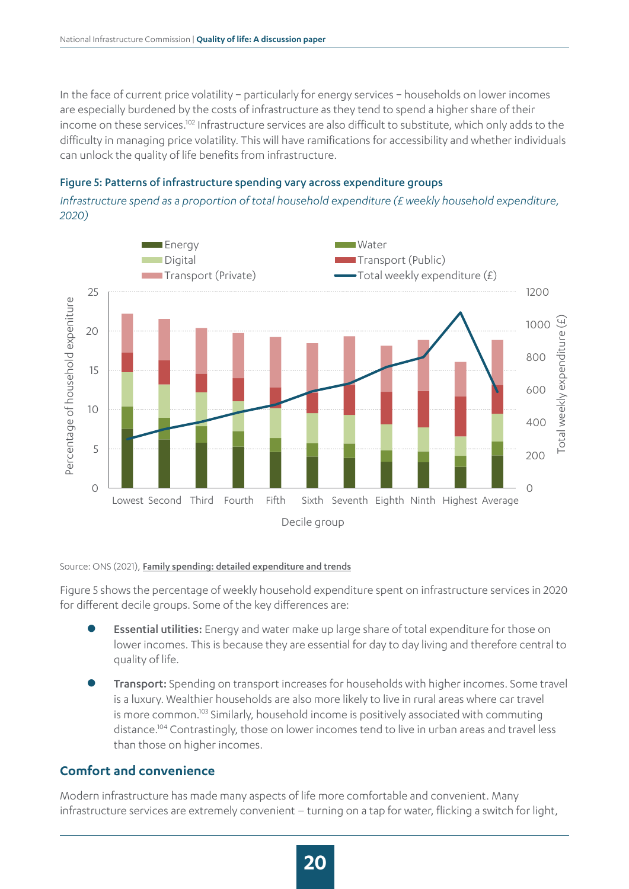In the face of current price volatility − particularly for energy services − households on lower incomes are especially burdened by the costs of infrastructure as they tend to spend a higher share of their income on these services.102 Infrastructure services are also difficult to substitute, which only adds to the difficulty in managing price volatility. This will have ramifications for accessibility and whether individuals can unlock the quality of life benefits from infrastructure.

#### Figure 5: Patterns of infrastructure spending vary across expenditure groups

*Infrastructure spend as a proportion of total household expenditure (£ weekly household expenditure, 2020)*



#### Source: ONS (2021), [Family spending: detailed expenditure and trends](https://www.ons.gov.uk/peoplepopulationandcommunity/personalandhouseholdfinances/expenditure/datasets/familyspendingworkbook1detailedexpenditureandtrends)

Figure 5 shows the percentage of weekly household expenditure spent on infrastructure services in 2020 for different decile groups. Some of the key differences are:

- Essential utilities: Energy and water make up large share of total expenditure for those on lower incomes. This is because they are essential for day to day living and therefore central to quality of life.
- **Transport:** Spending on transport increases for households with higher incomes. Some travel is a luxury. Wealthier households are also more likely to live in rural areas where car travel is more common.<sup>103</sup> Similarly, household income is positively associated with commuting distance.104 Contrastingly, those on lower incomes tend to live in urban areas and travel less than those on higher incomes.

#### **Comfort and convenience**

Modern infrastructure has made many aspects of life more comfortable and convenient. Many infrastructure services are extremely convenient – turning on a tap for water, flicking a switch for light,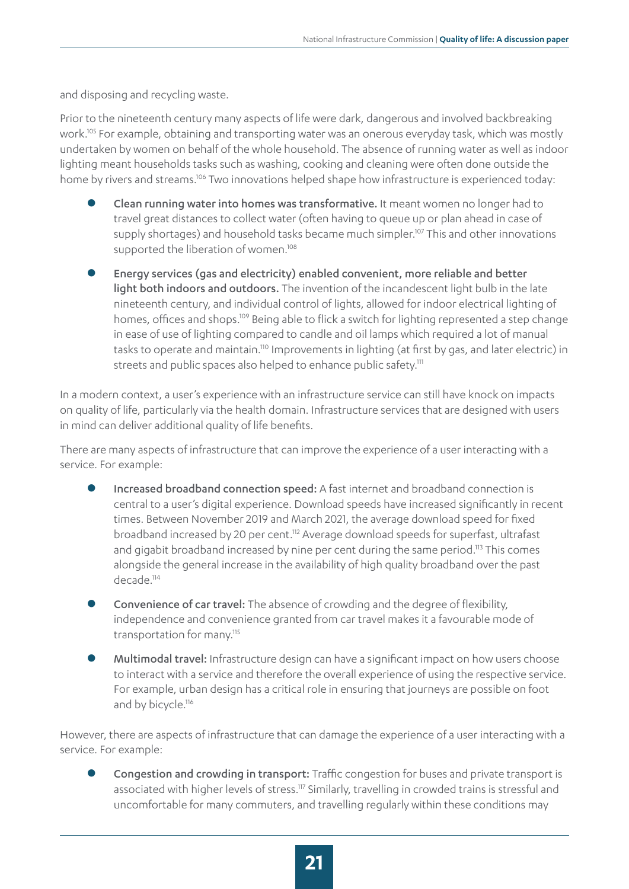and disposing and recycling waste.

Prior to the nineteenth century many aspects of life were dark, dangerous and involved backbreaking work.105 For example, obtaining and transporting water was an onerous everyday task, which was mostly undertaken by women on behalf of the whole household. The absence of running water as well as indoor lighting meant households tasks such as washing, cooking and cleaning were often done outside the home by rivers and streams.<sup>106</sup> Two innovations helped shape how infrastructure is experienced today:

- Clean running water into homes was transformative. It meant women no longer had to travel great distances to collect water (often having to queue up or plan ahead in case of supply shortages) and household tasks became much simpler.<sup>107</sup> This and other innovations supported the liberation of women.<sup>108</sup>
- Energy services (gas and electricity) enabled convenient, more reliable and better light both indoors and outdoors. The invention of the incandescent light bulb in the late nineteenth century, and individual control of lights, allowed for indoor electrical lighting of homes, offices and shops.<sup>109</sup> Being able to flick a switch for lighting represented a step change in ease of use of lighting compared to candle and oil lamps which required a lot of manual tasks to operate and maintain.<sup>110</sup> Improvements in lighting (at first by gas, and later electric) in streets and public spaces also helped to enhance public safety.<sup>111</sup>

In a modern context, a user's experience with an infrastructure service can still have knock on impacts on quality of life, particularly via the health domain. Infrastructure services that are designed with users in mind can deliver additional quality of life benefits.

There are many aspects of infrastructure that can improve the experience of a user interacting with a service. For example:

- Increased broadband connection speed: A fast internet and broadband connection is central to a user's digital experience. Download speeds have increased significantly in recent times. Between November 2019 and March 2021, the average download speed for fixed broadband increased by 20 per cent.<sup>112</sup> Average download speeds for superfast, ultrafast and gigabit broadband increased by nine per cent during the same period.<sup>113</sup> This comes alongside the general increase in the availability of high quality broadband over the past decade.<sup>114</sup>
- **Convenience of car travel:** The absence of crowding and the degree of flexibility, independence and convenience granted from car travel makes it a favourable mode of transportation for many.<sup>115</sup>
- Multimodal travel: Infrastructure design can have a significant impact on how users choose to interact with a service and therefore the overall experience of using the respective service. For example, urban design has a critical role in ensuring that journeys are possible on foot and by bicycle.<sup>116</sup>

However, there are aspects of infrastructure that can damage the experience of a user interacting with a service. For example:

Congestion and crowding in transport: Traffic congestion for buses and private transport is associated with higher levels of stress.<sup>117</sup> Similarly, travelling in crowded trains is stressful and uncomfortable for many commuters, and travelling regularly within these conditions may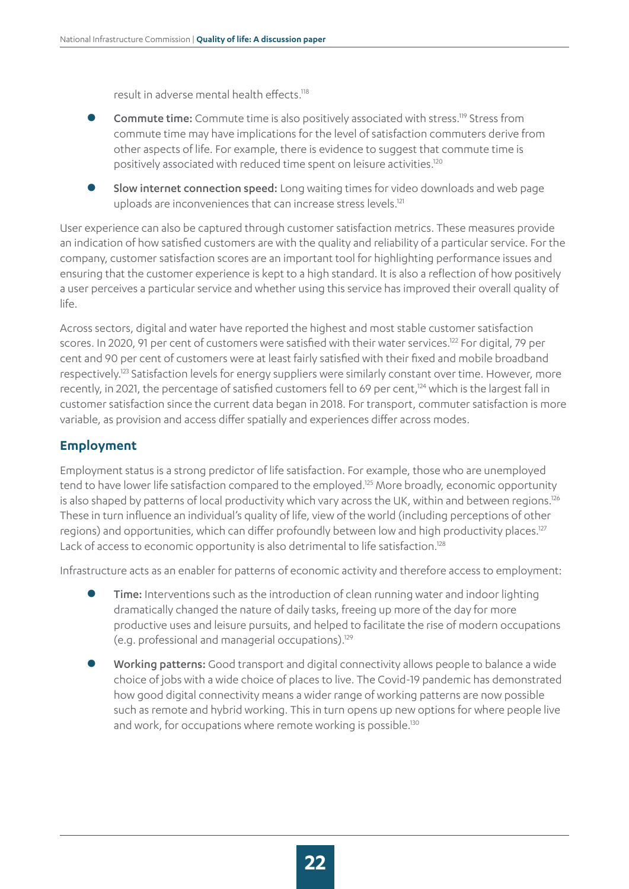result in adverse mental health effects.118

- Commute time: Commute time is also positively associated with stress.<sup>119</sup> Stress from commute time may have implications for the level of satisfaction commuters derive from other aspects of life. For example, there is evidence to suggest that commute time is positively associated with reduced time spent on leisure activities.120
- Slow internet connection speed: Long waiting times for video downloads and web page uploads are inconveniences that can increase stress levels.<sup>121</sup>

User experience can also be captured through customer satisfaction metrics. These measures provide an indication of how satisfied customers are with the quality and reliability of a particular service. For the company, customer satisfaction scores are an important tool for highlighting performance issues and ensuring that the customer experience is kept to a high standard. It is also a reflection of how positively a user perceives a particular service and whether using this service has improved their overall quality of life.

Across sectors, digital and water have reported the highest and most stable customer satisfaction scores. In 2020, 91 per cent of customers were satisfied with their water services.<sup>122</sup> For digital, 79 per cent and 90 per cent of customers were at least fairly satisfied with their fixed and mobile broadband respectively.<sup>123</sup> Satisfaction levels for energy suppliers were similarly constant over time. However, more recently, in 2021, the percentage of satisfied customers fell to 69 per cent,<sup>124</sup> which is the largest fall in customer satisfaction since the current data began in 2018. For transport, commuter satisfaction is more variable, as provision and access differ spatially and experiences differ across modes.

#### **Employment**

Employment status is a strong predictor of life satisfaction. For example, those who are unemployed tend to have lower life satisfaction compared to the employed.125 More broadly, economic opportunity is also shaped by patterns of local productivity which vary across the UK, within and between regions.<sup>126</sup> These in turn influence an individual's quality of life, view of the world (including perceptions of other regions) and opportunities, which can differ profoundly between low and high productivity places.<sup>127</sup> Lack of access to economic opportunity is also detrimental to life satisfaction.<sup>128</sup>

Infrastructure acts as an enabler for patterns of economic activity and therefore access to employment:

- Time: Interventions such as the introduction of clean running water and indoor lighting dramatically changed the nature of daily tasks, freeing up more of the day for more productive uses and leisure pursuits, and helped to facilitate the rise of modern occupations (e.g. professional and managerial occupations).129
- Working patterns: Good transport and digital connectivity allows people to balance a wide choice of jobs with a wide choice of places to live. The Covid-19 pandemic has demonstrated how good digital connectivity means a wider range of working patterns are now possible such as remote and hybrid working. This in turn opens up new options for where people live and work, for occupations where remote working is possible.<sup>130</sup>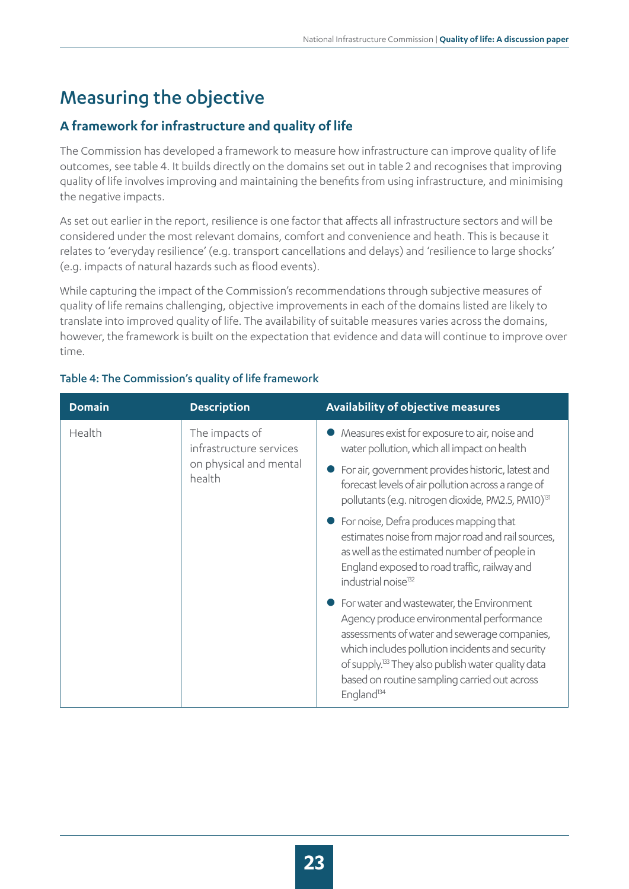### <span id="page-22-0"></span>Measuring the objective

#### **A framework for infrastructure and quality of life**

The Commission has developed a framework to measure how infrastructure can improve quality of life outcomes, see table 4. It builds directly on the domains set out in table 2 and recognises that improving quality of life involves improving and maintaining the benefits from using infrastructure, and minimising the negative impacts.

As set out earlier in the report, resilience is one factor that affects all infrastructure sectors and will be considered under the most relevant domains, comfort and convenience and heath. This is because it relates to 'everyday resilience' (e.g. transport cancellations and delays) and 'resilience to large shocks' (e.g. impacts of natural hazards such as flood events).

While capturing the impact of the Commission's recommendations through subjective measures of quality of life remains challenging, objective improvements in each of the domains listed are likely to translate into improved quality of life. The availability of suitable measures varies across the domains, however, the framework is built on the expectation that evidence and data will continue to improve over time.

| <b>Domain</b> | <b>Description</b>                                                            | Availability of objective measures                                                                                                                                                                                                                                                                                                     |
|---------------|-------------------------------------------------------------------------------|----------------------------------------------------------------------------------------------------------------------------------------------------------------------------------------------------------------------------------------------------------------------------------------------------------------------------------------|
| Health        | The impacts of<br>infrastructure services<br>on physical and mental<br>health | Measures exist for exposure to air, noise and<br>water pollution, which all impact on health                                                                                                                                                                                                                                           |
|               |                                                                               | For air, government provides historic, latest and<br>forecast levels of air pollution across a range of<br>pollutants (e.g. nitrogen dioxide, PM2.5, PM10) <sup>131</sup>                                                                                                                                                              |
|               |                                                                               | For noise, Defra produces mapping that<br>estimates noise from major road and rail sources,<br>as well as the estimated number of people in<br>England exposed to road traffic, railway and<br>industrial noise <sup>132</sup>                                                                                                         |
|               |                                                                               | • For water and wastewater, the Environment<br>Agency produce environmental performance<br>assessments of water and sewerage companies,<br>which includes pollution incidents and security<br>of supply. <sup>133</sup> They also publish water quality data<br>based on routine sampling carried out across<br>England <sup>134</sup> |

#### Table 4: The Commission's quality of life framework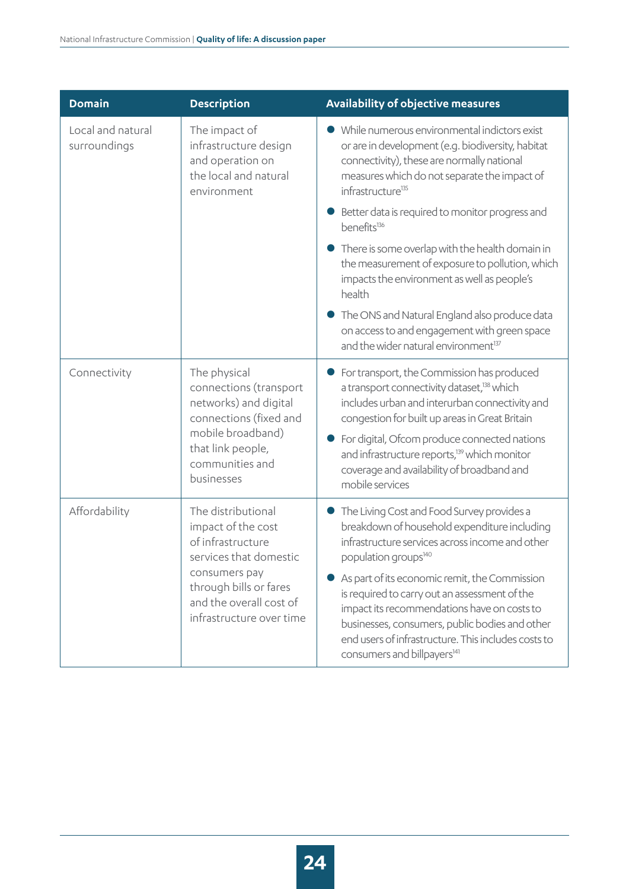| <b>Domain</b>                                                           | <b>Description</b>                                                                                 | <b>Availability of objective measures</b>                                                                                                                                                                                                                                                         |
|-------------------------------------------------------------------------|----------------------------------------------------------------------------------------------------|---------------------------------------------------------------------------------------------------------------------------------------------------------------------------------------------------------------------------------------------------------------------------------------------------|
| Local and natural<br>surroundings                                       | The impact of<br>infrastructure design<br>and operation on<br>the local and natural<br>environment | • While numerous environmental indictors exist<br>or are in development (e.g. biodiversity, habitat<br>connectivity), these are normally national<br>measures which do not separate the impact of<br>infrastructure <sup>135</sup>                                                                |
|                                                                         |                                                                                                    | Better data is required to monitor progress and<br>benefits <sup>136</sup>                                                                                                                                                                                                                        |
|                                                                         |                                                                                                    | There is some overlap with the health domain in<br>the measurement of exposure to pollution, which<br>impacts the environment as well as people's<br>health                                                                                                                                       |
|                                                                         |                                                                                                    | The ONS and Natural England also produce data<br>on access to and engagement with green space<br>and the wider natural environment <sup>137</sup>                                                                                                                                                 |
| Connectivity                                                            | The physical<br>connections (transport<br>networks) and digital<br>connections (fixed and          | For transport, the Commission has produced<br>a transport connectivity dataset, <sup>138</sup> which<br>includes urban and interurban connectivity and<br>congestion for built up areas in Great Britain                                                                                          |
| mobile broadband)<br>that link people,<br>communities and<br>businesses |                                                                                                    | For digital, Ofcom produce connected nations<br>and infrastructure reports, <sup>139</sup> which monitor<br>coverage and availability of broadband and<br>mobile services                                                                                                                         |
| Affordability                                                           | The distributional<br>impact of the cost<br>of infrastructure<br>services that domestic            | The Living Cost and Food Survey provides a<br>breakdown of household expenditure including<br>infrastructure services across income and other<br>population groups <sup>140</sup>                                                                                                                 |
|                                                                         | consumers pay<br>through bills or fares<br>and the overall cost of<br>infrastructure over time     | As part of its economic remit, the Commission<br>is required to carry out an assessment of the<br>impact its recommendations have on costs to<br>businesses, consumers, public bodies and other<br>end users of infrastructure. This includes costs to<br>consumers and billpayers <sup>141</sup> |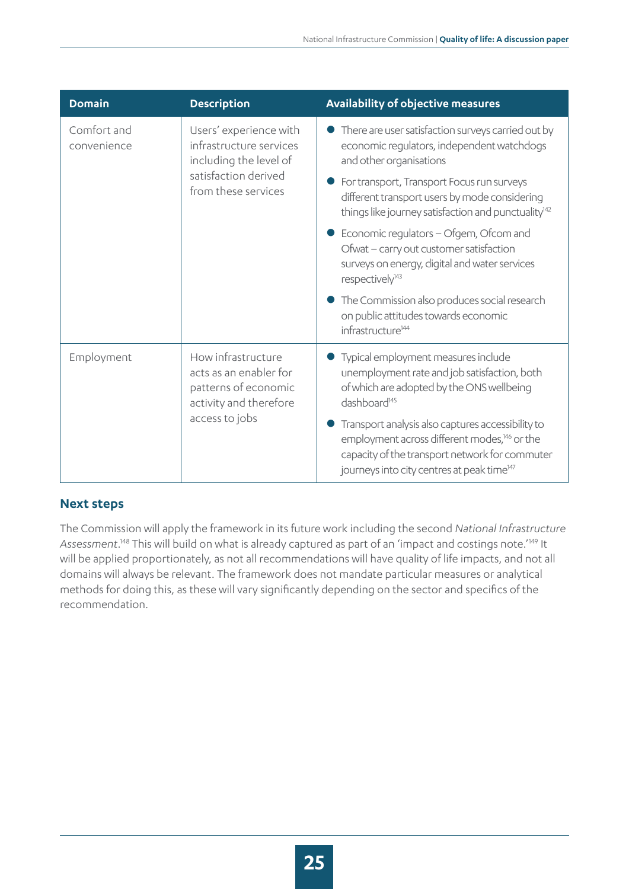| <b>Domain</b>              | <b>Description</b>                                                                                                         | Availability of objective measures                                                                                                                                                                                                                                                                                                                                                                                                                                                                                                                                                          |
|----------------------------|----------------------------------------------------------------------------------------------------------------------------|---------------------------------------------------------------------------------------------------------------------------------------------------------------------------------------------------------------------------------------------------------------------------------------------------------------------------------------------------------------------------------------------------------------------------------------------------------------------------------------------------------------------------------------------------------------------------------------------|
| Comfort and<br>convenience | Users' experience with<br>infrastructure services<br>including the level of<br>satisfaction derived<br>from these services | There are user satisfaction surveys carried out by<br>economic regulators, independent watchdogs<br>and other organisations<br>For transport, Transport Focus run surveys<br>different transport users by mode considering<br>things like journey satisfaction and punctuality <sup>142</sup><br>Economic regulators - Ofgem, Ofcom and<br>Ofwat - carry out customer satisfaction<br>surveys on energy, digital and water services<br>respectively <sup>143</sup><br>The Commission also produces social research<br>on public attitudes towards economic<br>infrastructure <sup>144</sup> |
| Employment                 | How infrastructure<br>acts as an enabler for<br>patterns of economic<br>activity and therefore<br>access to jobs           | Typical employment measures include<br>unemployment rate and job satisfaction, both<br>of which are adopted by the ONS wellbeing<br>dashboard <sup>145</sup><br>Transport analysis also captures accessibility to<br>employment across different modes, <sup>146</sup> or the<br>capacity of the transport network for commuter<br>journeys into city centres at peak time <sup>147</sup>                                                                                                                                                                                                   |

#### **Next steps**

The Commission will apply the framework in its future work including the second *National Infrastructure Assessment*. 148 This will build on what is already captured as part of an 'impact and costings note.'149 It will be applied proportionately, as not all recommendations will have quality of life impacts, and not all domains will always be relevant. The framework does not mandate particular measures or analytical methods for doing this, as these will vary significantly depending on the sector and specifics of the recommendation.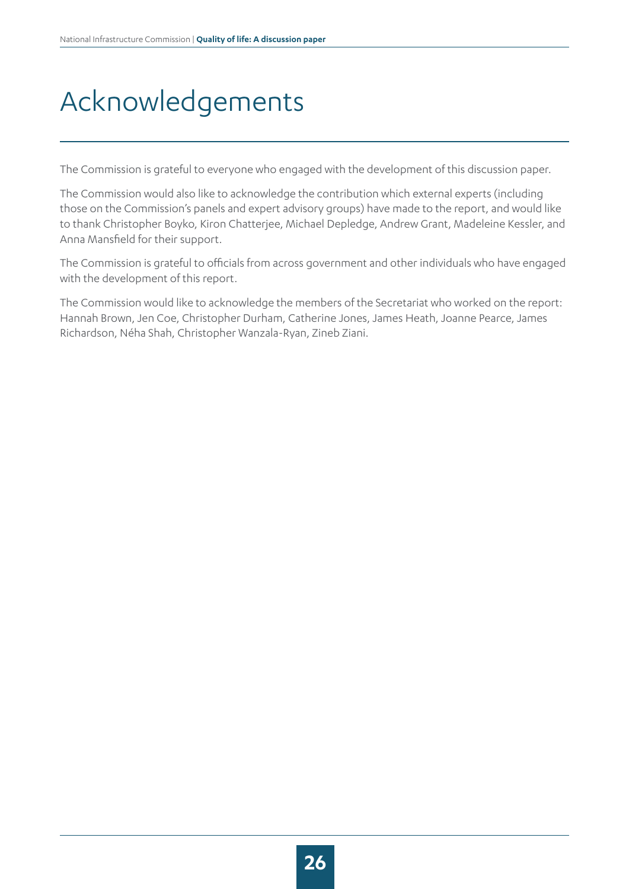# <span id="page-25-0"></span>Acknowledgements

The Commission is grateful to everyone who engaged with the development of this discussion paper.

The Commission would also like to acknowledge the contribution which external experts (including those on the Commission's panels and expert advisory groups) have made to the report, and would like to thank Christopher Boyko, Kiron Chatterjee, Michael Depledge, Andrew Grant, Madeleine Kessler, and Anna Mansfield for their support.

The Commission is grateful to officials from across government and other individuals who have engaged with the development of this report.

The Commission would like to acknowledge the members of the Secretariat who worked on the report: Hannah Brown, Jen Coe, Christopher Durham, Catherine Jones, James Heath, Joanne Pearce, James Richardson, Néha Shah, Christopher Wanzala-Ryan, Zineb Ziani.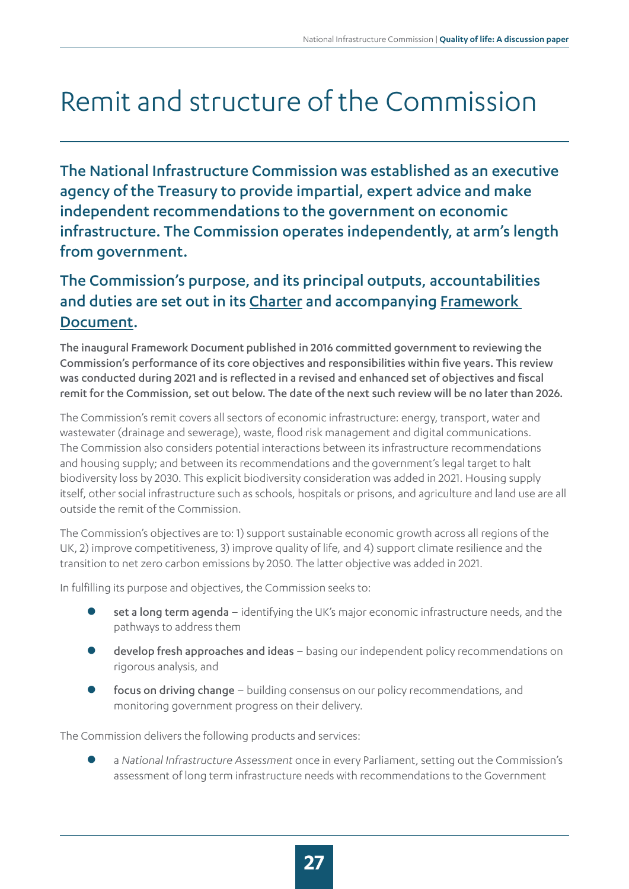# <span id="page-26-0"></span>Remit and structure of the Commission

The National Infrastructure Commission was established as an executive agency of the Treasury to provide impartial, expert advice and make independent recommendations to the government on economic infrastructure. The Commission operates independently, at arm's length from government.

### The Commission's purpose, and its principal outputs, accountabilities and duties are set out in its Charter and accompanying Framework Document.

The inaugural Framework Document published in 2016 committed government to reviewing the Commission's performance of its core objectives and responsibilities within five years. This review was conducted during 2021 and is reflected in a revised and enhanced set of objectives and fiscal remit for the Commission, set out below. The date of the next such review will be no later than 2026.

The Commission's remit covers all sectors of economic infrastructure: energy, transport, water and wastewater (drainage and sewerage), waste, flood risk management and digital communications. The Commission also considers potential interactions between its infrastructure recommendations and housing supply; and between its recommendations and the government's legal target to halt biodiversity loss by 2030. This explicit biodiversity consideration was added in 2021. Housing supply itself, other social infrastructure such as schools, hospitals or prisons, and agriculture and land use are all outside the remit of the Commission.

The Commission's objectives are to: 1) support sustainable economic growth across all regions of the UK, 2) improve competitiveness, 3) improve quality of life, and 4) support climate resilience and the transition to net zero carbon emissions by 2050. The latter objective was added in 2021.

In fulfilling its purpose and objectives, the Commission seeks to:

- set a long term agenda identifying the UK's major economic infrastructure needs, and the pathways to address them
- develop fresh approaches and ideas basing our independent policy recommendations on rigorous analysis, and
- focus on driving change building consensus on our policy recommendations, and monitoring government progress on their delivery.

The Commission delivers the following products and services:

z a *National Infrastructure Assessment* once in every Parliament, setting out the Commission's assessment of long term infrastructure needs with recommendations to the Government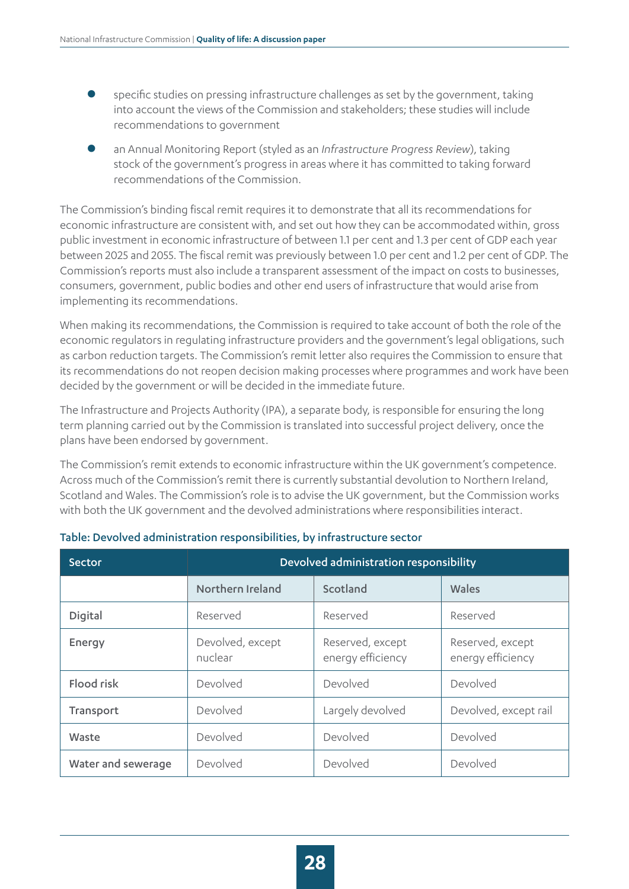- specific studies on pressing infrastructure challenges as set by the government, taking into account the views of the Commission and stakeholders; these studies will include recommendations to government
- z an Annual Monitoring Report (styled as an *Infrastructure Progress Review*), taking stock of the government's progress in areas where it has committed to taking forward recommendations of the Commission.

The Commission's binding fiscal remit requires it to demonstrate that all its recommendations for economic infrastructure are consistent with, and set out how they can be accommodated within, gross public investment in economic infrastructure of between 1.1 per cent and 1.3 per cent of GDP each year between 2025 and 2055. The fiscal remit was previously between 1.0 per cent and 1.2 per cent of GDP. The Commission's reports must also include a transparent assessment of the impact on costs to businesses, consumers, government, public bodies and other end users of infrastructure that would arise from implementing its recommendations.

When making its recommendations, the Commission is required to take account of both the role of the economic regulators in regulating infrastructure providers and the government's legal obligations, such as carbon reduction targets. The Commission's remit letter also requires the Commission to ensure that its recommendations do not reopen decision making processes where programmes and work have been decided by the government or will be decided in the immediate future.

The Infrastructure and Projects Authority (IPA), a separate body, is responsible for ensuring the long term planning carried out by the Commission is translated into successful project delivery, once the plans have been endorsed by government.

The Commission's remit extends to economic infrastructure within the UK government's competence. Across much of the Commission's remit there is currently substantial devolution to Northern Ireland, Scotland and Wales. The Commission's role is to advise the UK government, but the Commission works with both the UK government and the devolved administrations where responsibilities interact.

| Sector             | Devolved administration responsibility |                                       |                                       |
|--------------------|----------------------------------------|---------------------------------------|---------------------------------------|
|                    | Northern Ireland                       | Scotland                              | Wales                                 |
| Digital            | Reserved                               | Reserved                              | Reserved                              |
| Energy             | Devolved, except<br>nuclear            | Reserved, except<br>energy efficiency | Reserved, except<br>energy efficiency |
| Flood risk         | Devolved                               | Devolved                              | Devolved                              |
| Transport          | Devolved                               | Largely devolved                      | Devolved, except rail                 |
| Waste              | Devolved                               | Devolved                              | Devolved                              |
| Water and sewerage | Devolved                               | Devolved                              | Devolved                              |

#### Table: Devolved administration responsibilities, by infrastructure sector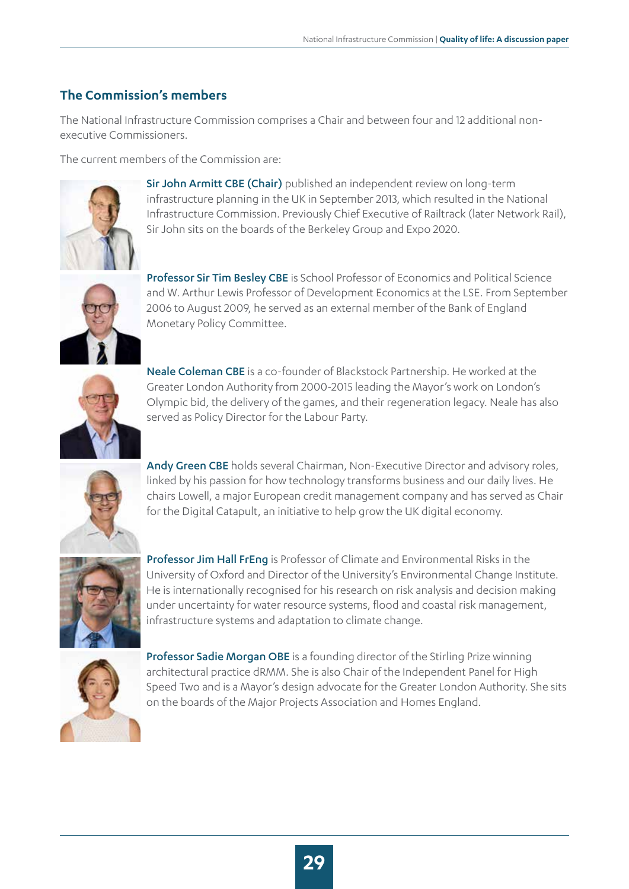#### **The Commission's members**

The National Infrastructure Commission comprises a Chair and between four and 12 additional nonexecutive Commissioners.

The current members of the Commission are:



Sir John Armitt CBE (Chair) published an independent review on long-term infrastructure planning in the UK in September 2013, which resulted in the National Infrastructure Commission. Previously Chief Executive of Railtrack (later Network Rail), Sir John sits on the boards of the Berkeley Group and Expo 2020.



Professor Sir Tim Besley CBE is School Professor of Economics and Political Science and W. Arthur Lewis Professor of Development Economics at the LSE. From September 2006 to August 2009, he served as an external member of the Bank of England Monetary Policy Committee.



Neale Coleman CBE is a co-founder of Blackstock Partnership. He worked at the Greater London Authority from 2000-2015 leading the Mayor's work on London's Olympic bid, the delivery of the games, and their regeneration legacy. Neale has also served as Policy Director for the Labour Party.



Andy Green CBE holds several Chairman, Non-Executive Director and advisory roles, linked by his passion for how technology transforms business and our daily lives. He chairs Lowell, a major European credit management company and has served as Chair for the Digital Catapult, an initiative to help grow the UK digital economy.



Professor Jim Hall FrEng is Professor of Climate and Environmental Risks in the University of Oxford and Director of the University's Environmental Change Institute. He is internationally recognised for his research on risk analysis and decision making under uncertainty for water resource systems, flood and coastal risk management, infrastructure systems and adaptation to climate change.



Professor Sadie Morgan OBE is a founding director of the Stirling Prize winning architectural practice dRMM. She is also Chair of the Independent Panel for High Speed Two and is a Mayor's design advocate for the Greater London Authority. She sits on the boards of the Major Projects Association and Homes England.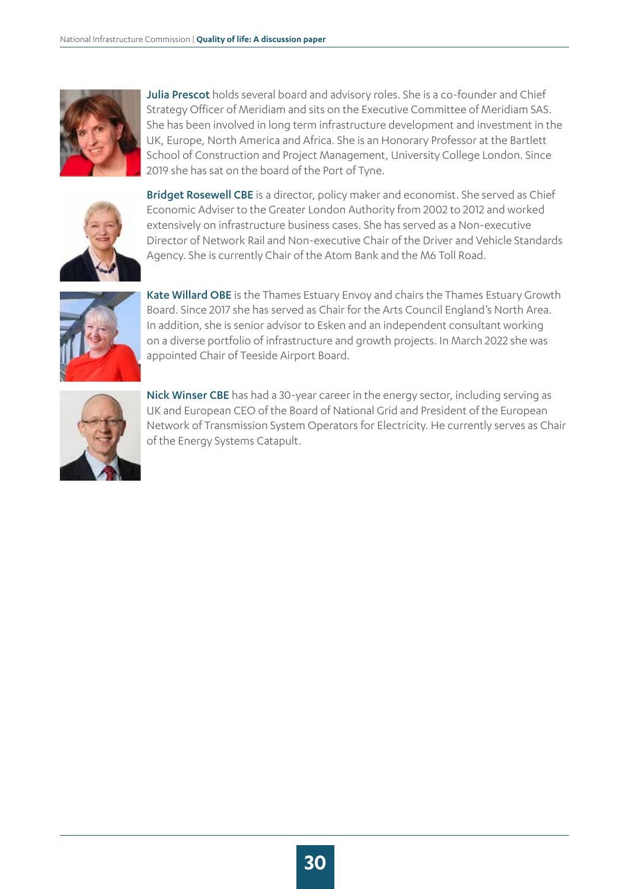

Julia Prescot holds several board and advisory roles. She is a co-founder and Chief Strategy Officer of Meridiam and sits on the Executive Committee of Meridiam SAS. She has been involved in long term infrastructure development and investment in the UK, Europe, North America and Africa. She is an Honorary Professor at the Bartlett School of Construction and Project Management, University College London. Since 2019 she has sat on the board of the Port of Tyne.



Bridget Rosewell CBE is a director, policy maker and economist. She served as Chief Economic Adviser to the Greater London Authority from 2002 to 2012 and worked extensively on infrastructure business cases. She has served as a Non-executive Director of Network Rail and Non-executive Chair of the Driver and Vehicle Standards Agency. She is currently Chair of the Atom Bank and the M6 Toll Road.



Kate Willard OBE is the Thames Estuary Envoy and chairs the Thames Estuary Growth Board. Since 2017 she has served as Chair for the Arts Council England's North Area. In addition, she is senior advisor to Esken and an independent consultant working on a diverse portfolio of infrastructure and growth projects. In March 2022 she was appointed Chair of Teeside Airport Board.



Nick Winser CBE has had a 30-year career in the energy sector, including serving as UK and European CEO of the Board of National Grid and President of the European Network of Transmission System Operators for Electricity. He currently serves as Chair of the Energy Systems Catapult.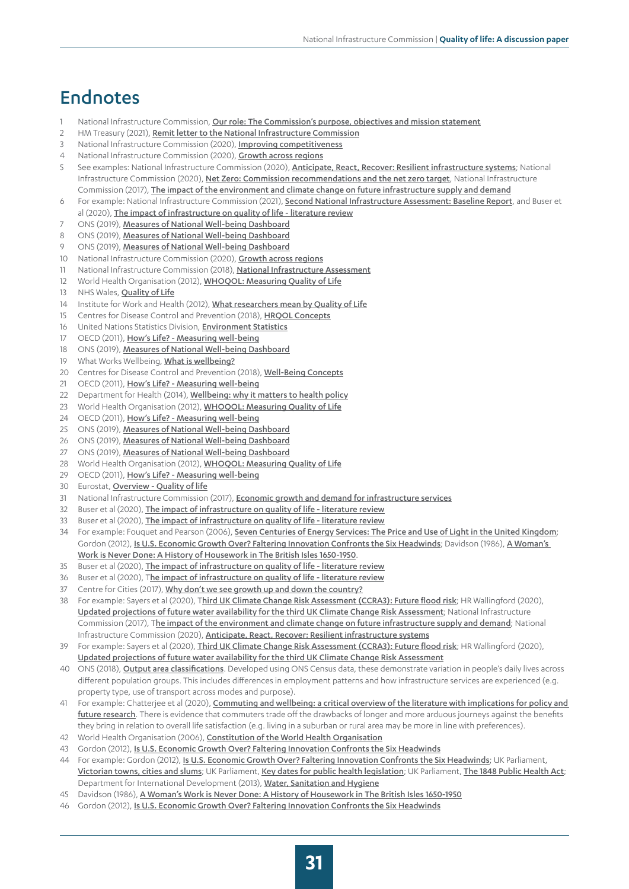### <span id="page-30-0"></span>Endnotes

- 1 National Infrastructure Commission, [Our role: The Commission's purpose, objectives and mission statement](https://nic.org.uk/about/)
- 2 HM Treasury (2021), [Remit letter to the National Infrastructure Commission](https://www.gov.uk/government/publications/remit-letter-to-the-national-infrastructure-commission--2/remit-letter-to-the-national-infrastructure-commission)
- 3 National Infrastructure Commission (2020), **[Improving competitiveness](https://nic.org.uk/studies-reports/improving-competitiveness-2/)**
- 4 National Infrastructure Commission (2020), [Growth across regions](https://nic.org.uk/studies-reports/growth-across-regions/)
- 5 See examples: National Infrastructure Commission (2020), **[Anticipate, React, Recover: Resilient infrastructure systems](https://nic.org.uk/app/uploads/Anticipate-React-Recover-28-May-2020.pdf)**; National Infrastructure Commission (2020), [Net Zero: Commission recommendations and the net zero target](https://nic.org.uk/studies-reports/net-zero-commission-recommendations-and-the-net-zero-target/), National Infrastructure Commission (2017), [The impact of the environment and climate change on future infrastructure supply and demand](https://nic.org.uk/studies-reports/national-infrastructure-assessment/national-infrastructure-assessment-1/the-impact-of-the-environment-and-climate-change-on-future-infrastructure-supply-and-demand/)
- 6 For example: National Infrastructure Commission (2021), [Second National Infrastructure Assessment: Baseline Report](https://nic.org.uk/studies-reports/national-infrastructure-assessment/baseline-report/), and Buser et al (2020), [The impact of infrastructure on quality of life - literature review](https://nic.org.uk/studies-reports/national-infrastructure-assessment/the-impact-of-infrastructure-on-quality-of-life-literature-review/)
- 7 ONS (2019), [Measures of National Well-being Dashboard](https://www.ons.gov.uk/peoplepopulationandcommunity/wellbeing/articles/measuresofnationalwellbeingdashboard/2018-04-25)
- 8 ONS (2019), [Measures of National Well-being Dashboard](https://www.ons.gov.uk/peoplepopulationandcommunity/wellbeing/articles/measuresofnationalwellbeingdashboard/2018-04-25)
- 9 ONS (2019), [Measures of National Well-being Dashboard](https://www.ons.gov.uk/peoplepopulationandcommunity/wellbeing/articles/measuresofnationalwellbeingdashboard/2018-04-25)
- 10 National Infrastructure Commission (2020), **[Growth across regions](https://nic.org.uk/studies-reports/growth-across-regions/)**
- 11 National Infrastructure Commission (2018), [National Infrastructure Assessment](https://nic.org.uk/studies-reports/national-infrastructure-assessment/national-infrastructure-assessment-1/)
- 12 World Health Organisation (2012), [WHOQOL: Measuring Quality of Life](https://www.who.int/toolkits/whoqol)
- 13 NHS Wales, [Quality of Life](http://www.wales.nhs.uk/sites3/documents/322/Section_C07_-_Quality_of_Life.pdf)
- 14 Institute for Work and Health (2012), [What researchers mean by Quality of Life](https://www.iwh.on.ca/what-researchers-mean-by/quality-of-life)
- 15 Centres for Disease Control and Prevention (2018), **[HRQOL Concepts](https://www.cdc.gov/hrqol/concept.htm)**
- 16 United Nations Statistics Division, **[Environment Statistics](https://unstats.un.org/unsd/environmentgl/gesform.asp?getitem=936)**
- 17 OECD (2011), [How's Life? Measuring well-being](https://unstats.un.org/unsd/broaderprogress/pdf/How)
- 18 ONS (2019), [Measures of National Well-being Dashboard](https://www.ons.gov.uk/peoplepopulationandcommunity/wellbeing/articles/measuresofnationalwellbeingdashboard/2018-04-25)
- 19 What Works Wellbeing, [What is wellbeing?](https://whatworkswellbeing.org/about-wellbeing/what-is-wellbeing/)
- 20 Centres for Disease Control and Prevention (2018), [Well-Being Concepts](https://www.cdc.gov/hrqol/wellbeing.htm)
- 21 OECD (2011), [How's Life? Measuring well-being](https://unstats.un.org/unsd/broaderprogress/pdf/How)
- 22 Department for Health (2014), [Wellbeing: why it matters to health policy](https://assets.publishing.service.gov.uk/government/uploads/system/uploads/attachment_data/file/277566/Narrative__January_2014_.pdf)
- 23 World Health Organisation (2012), [WHOQOL: Measuring Quality of Life](https://www.who.int/toolkits/whoqol)
- 24 OECD (2011), [How's Life? Measuring well-being](https://unstats.un.org/unsd/broaderprogress/pdf/How)
- 25 ONS (2019), [Measures of National Well-being Dashboard](https://www.ons.gov.uk/peoplepopulationandcommunity/wellbeing/articles/measuresofnationalwellbeingdashboard/2018-04-25)
- 26 ONS (2019), [Measures of National Well-being Dashboard](https://www.ons.gov.uk/peoplepopulationandcommunity/wellbeing/articles/measuresofnationalwellbeingdashboard/2018-04-25)
- 27 ONS (2019), [Measures of National Well-being Dashboard](https://www.ons.gov.uk/peoplepopulationandcommunity/wellbeing/articles/measuresofnationalwellbeingdashboard/2018-04-25)
- 28 World Health Organisation (2012), [WHOQOL: Measuring Quality of Life](https://www.who.int/toolkits/whoqol)
- 29 OECD (2011), [How's Life? Measuring well-being](https://unstats.un.org/unsd/broaderprogress/pdf/How)
- 30 Eurostat, [Overview Quality of life](https://ec.europa.eu/eurostat/web/quality-of-life/)
- 31 National Infrastructure Commission (2017), [Economic growth and demand for infrastructure services](https://nic.org.uk/studies-reports/national-infrastructure-assessment/national-infrastructure-assessment-1/economic-growth-and-demand-for-infrastructure-services/)
- 32 Buser et al (2020), [The impact of infrastructure on quality of life literature review](https://nic.org.uk/studies-reports/national-infrastructure-assessment/the-impact-of-infrastructure-on-quality-of-life-literature-review/)
- 33 Buser et al (2020), [The impact of infrastructure on quality of life literature review](https://nic.org.uk/studies-reports/national-infrastructure-assessment/the-impact-of-infrastructure-on-quality-of-life-literature-review/)
- 34 For example: Fouquet and Pearson (2006), [Seven Centuries of Energy Services: The Price and Use of Light in the United Kingdom](https://www.researchgate.net/publication/227349575_Seven_Centuries_of_Energy_Services_The_Price_and_Use_of_Light_in_the_United_Kingdom_1300-2000); Gordon (2012), [Is U.S. Economic Growth Over? Faltering Innovation Confronts the Six Headwinds](https://www.nber.org/papers/w18315); Davidson (1986), A Woman's Work is Never Done: A History of Housework in The British Isles 1650-1950.
- 35 Buser et al (2020), [The impact of infrastructure on quality of life literature review](https://nic.org.uk/studies-reports/national-infrastructure-assessment/the-impact-of-infrastructure-on-quality-of-life-literature-review/)
- 36 Buser et al (2020), T[he impact of infrastructure on quality of life literature review](https://nic.org.uk/studies-reports/national-infrastructure-assessment/the-impact-of-infrastructure-on-quality-of-life-literature-review/)
- 37 Centre for Cities (2017), [Why don't we see growth up and down the country?](https://www.centreforcities.org/wp-content/uploads/2017/04/17-10-05-Why-dont-we-see-growth-up-and-down-the-country.pdf)
- 38 For example: Sayers et al (2020), T[hird UK Climate Change Risk Assessment \(CCRA3\): Future flood risk](https://www.ukclimaterisk.org/wp-content/uploads/2020/07/Future-Flooding-Main-Report-Sayers-1.pdf); HR Wallingford (2020), [Updated projections of future water availability for the third UK Climate Change Risk Assessment](https://www.ukclimaterisk.org/wp-content/uploads/2020/07/Updated-projections-of-future-water-availability_HRW.pdf); National Infrastructure Commission (2017), T[he impact of the environment and climate change on future infrastructure supply and demand](https://nic.org.uk/studies-reports/national-infrastructure-assessment/national-infrastructure-assessment-1/the-impact-of-the-environment-and-climate-change-on-future-infrastructure-supply-and-demand/); National Infrastructure Commission (2020), [Anticipate, React, Recover: Resilient infrastructure systems](https://nic.org.uk/studies-reports/resilience/)
- For example: Sayers et al (2020), [Third UK Climate Change Risk Assessment \(CCRA3\): Future flood risk](https://www.ukclimaterisk.org/wp-content/uploads/2020/07/Future-Flooding-Main-Report-Sayers-1.pdf); HR Wallingford (2020), [Updated projections of future water availability for the third UK Climate Change Risk Assessment](https://www.ukclimaterisk.org/wp-content/uploads/2020/07/Updated-projections-of-future-water-availability_HRW.pdf)
- 40 ONS (2018), **[Output area classifications](https://www.ons.gov.uk/methodology/geography/geographicalproducts/areaclassifications/2011areaclassifications/penportraitsandradialplots)**. Developed using ONS Census data, these demonstrate variation in people's daily lives across different population groups. This includes differences in employment patterns and how infrastructure services are experienced (e.g. property type, use of transport across modes and purpose).
- 41 For example: Chatterjee et al (2020), *Commuting and wellbeing: a critical overview of the literature with implications for policy and* [future research](https://core.ac.uk/download/pdf/223214133.pdf). There is evidence that commuters trade off the drawbacks of longer and more arduous journeys against the benefits they bring in relation to overall life satisfaction (e.g. living in a suburban or rural area may be more in line with preferences).
- 42 World Health Organisation (2006), [Constitution of the World Health Organisation](https://www.who.int/about/governance/constitution)
- 43 Gordon (2012), [Is U.S. Economic Growth Over? Faltering Innovation Confronts the Six Headwinds](https://www.nber.org/papers/w18315)
- 44 For example: Gordon (2012), [Is U.S. Economic Growth Over? Faltering Innovation Confronts the Six Headwinds](https://www.nber.org/papers/w18315); UK Parliament, [Victorian towns, cities and slums](https://www.parliament.uk/about/living-heritage/transformingsociety/towncountry/towns/overview/towns/); UK Parliament, [Key dates for public health legislation](https://www.parliament.uk/about/living-heritage/transformingsociety/towncountry/towns/keydates/); UK Parliament, [The 1848 Public Health Act](https://www.parliament.uk/about/living-heritage/transformingsociety/towncountry/towns/tyne-and-wear-case-study/about-the-group/public-administration/the-1848-public-health-act/); Department for International Development (2013), [Water, Sanitation and Hygiene](https://assets.publishing.service.gov.uk/government/uploads/system/uploads/attachment_data/file/193656/WASH-evidence-paper-april2013.pdf)
- 45 Davidson (1986), A Woman's Work is Never Done: A History of Housework in The British Isles 1650-1950
- 46 Gordon (2012), [Is U.S. Economic Growth Over? Faltering Innovation Confronts the Six Headwinds](https://www.nber.org/papers/w18315)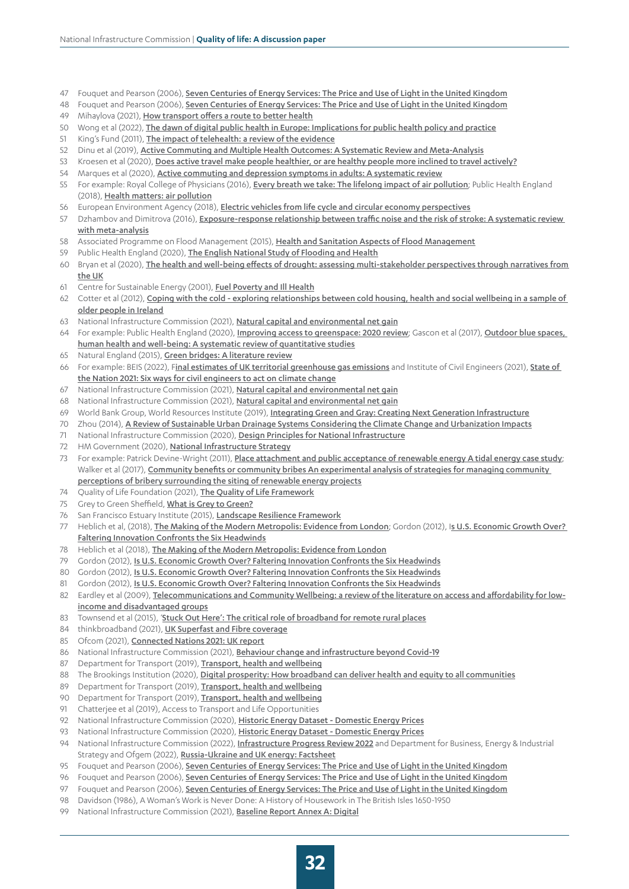- 47 Fouquet and Pearson (2006), [Seven Centuries of Energy Services: The Price and Use of Light in the United Kingdom](https://www.researchgate.net/publication/227349575_Seven_Centuries_of_Energy_Services_The_Price_and_Use_of_Light_in_the_United_Kingdom_1300-2000)
- 48 Fouquet and Pearson (2006), [Seven Centuries of Energy Services: The Price and Use of Light in the United Kingdom](https://www.researchgate.net/publication/227349575_Seven_Centuries_of_Energy_Services_The_Price_and_Use_of_Light_in_the_United_Kingdom_1300-2000)
- 49 Mihaylova (2021), [How transport offers a route to better health](https://www.health.org.uk/sites/default/files/2021-02/2021%20-%20Transport%20is%20a%20route%20to%20better%20health.pdf)
- 50 Wong et al (2022), [The dawn of digital public health in Europe: Implications for public health policy and practice](https://pdf.sciencedirectassets.com/777792/1-s2.0-S2666776221X00154/1-s2.0-S2666776222000096/main.pdf?X-Amz-Security-Token=IQoJb3JpZ2luX2VjEPf%2F%2F%2F%2F%2F%2F%2F%2F%2F%2FwEaCXVzLWVhc3QtMSJHMEUCIQDdB62cibyrI%2FkdhyZh1UsAFLvQtpzcEdDLfUscG3DAdgIgeJC6nk9u5bfz3thboPFW764DhrDee%2Ffn5olD8yj07i0qgwQIkP%2F%2F%2F%2F%2F%2F%2F%2F%2F%2FARAEGgwwNTkwMDM1NDY4NjUiDIE1R4L5xa6s%2BD8NlSrXA3J8iAvczAenWBTRT8NNXZUCk1cmGcZUP2YAggrD4%2FXWQ7jaQjteavjh67Vz4U0j%2BJUMqwSeiEXwCorOMrLylKkS%2BIvnY9BPVNShUNKXuCnfcv9Yn9Wz4SO%2F2l6qRuF%2BI5OtLugbdncBxvsWU7UugUnlmxJ1O3HQ59%2BlEZeFcBNqHWYs7BLUTPq6GqqY6my7EVNdE8sToRnnN6JJJoXGhnctGMUEceMQlM0JzbvDqjib1vEm6v18sXGUL8izFEJMrj%2FxRYrN4nrfO7yTdzq2D0f97orl6v3pLenPbRaM1GiZ7AA680KqSgcRWrSdvayXoHWVcTS8LOLAprKDKl51HLGVnbcBOYTM3D9TiG5Tna4cO36LYneN7cTuHMSeV6BtVWS0ZEY92ZUSYtN3afpUb%2FP8ApXkAWyk7wYSSRmcivuekXAtEv3HcAGKLBfscND9QXaIKAK19rDpIu2ulwmKXaR055ankWVTAmLiFgIWM%2FKo%2Fh%2B%2FZPIS36Abn1sQnLr5lLY5nrTdp5p865kXamzIFgmtO5ii4uekigjRTzewZIh2YXSXIFx3qU4WE%2B2xAzQBDAcfdAulsN36sQZZwJeOc02BSxuYf99%2FkjYXlNO5%2BAYZ%2BNaDs1OPETCtrbGSBjqlAZJjonRdzhk%2Fr7ZyfUP%2FbPNbGFyBEuFGfX2Izh7Uu9dmcEh%2FVOBASfFE74NRDmzoGykKc0A7Z6%2BUiCKb4cVBgWV0ZktpsHW4HDqzREmGga3hnvFiqeOI1kmTYyAcQWjkkOnYoMWX6Yy7Rp9bqVjYrvjEqILiwpOj0J7pLfyOfQEKSc9SSoKa4KYAlzPLw1fJ%2BWWihkgqoPZBl5qkY1EKtmxEj%2B0leA%3D%3D&X-Amz-Algorithm=AWS4-HMAC-SHA256&X-Amz-Date=20220405T152738Z&X-Amz-SignedHeaders=host&X-Amz-Expires=300&X-Amz-Credential=ASIAQ3PHCVTY7T63RJI7%2F20220405%2Fus-east-1%2Fs3%2Faws4_request&X-Amz-Signature=ef1b5295a4f9cbd508b506442839b8052676ea8b91777cd88852f58593eec383&hash=4ac6949b465164476e6571536073206b2297742d821aa9382d20e9971267fed0&host=68042c943591013ac2b2430a89b270f6af2c76d8dfd086a07176afe7c76c2c61&pii=S2666776222000096&tid=spdf-dc56986c-1701-41bb-97f9-d3968d5e01f4&sid=041ea9133a58e84b2c88247570a34d5950b6gxrqb&type=client)
- 51 King's Fund (2011), [The impact of telehealth: a review of the evidence](https://www.kingsfund.org.uk/projects/whole-systems-demonstrator-action-network-wsdan/impact-telehealth-review-evidence)
- 52 Dinu et al (2019), [Active Commuting and Multiple Health Outcomes: A Systematic Review and Meta-Analysis](https://www.researchgate.net/profile/Francesco-Sofi/publication/328999577_Active_Commuting_and_Multiple_Health_Outcomes_A_Systematic_Review_and_Meta-Analysis/links/5d4eebec4585153e594c4246/Active-Commuting-and-Multiple-Health-Outcomes-A-Systematic-Review-and-Meta-Analysis.pdf)
- 53 Kroesen et al (2020), [Does active travel make people healthier, or are healthy people more inclined to travel actively?](file:///C:/Users/zziani/Downloads/JTH2020KroesenandDeVos.pdf)
- 54 Marques et al (2020), [Active commuting and depression symptoms in adults: A systematic review](https://digituma.uma.pt/bitstream/10400.13/3656/1/Active%20commuting%20and%20depression%20symptoms%20in%20adults.pdf)
- 55 For example: Royal College of Physicians (2016), [Every breath we take: The lifelong impact of air pollution](file:///C:\Users\zziani\Downloads\Air_pollution_main%20report_WEB_1_0_0%20(1).pdf); Public Health England (2018), [Health matters: air pollution](https://www.gov.uk/government/publications/health-matters-air-pollution/health-matters-air-pollution)
- 56 European Environment Agency (2018), [Electric vehicles from life cycle and circular economy perspectives](https://www.eea.europa.eu/publications/electric-vehicles-from-life-cycle)
- 57 Dzhambov and Dimitrova (2016), Exposure-response relationship between traffic noise and the risk of stroke: A systematic review [with meta-analysis](https://hrcak.srce.hr/file/235677)
- 58 Associated Programme on Flood Management (2015), [Health and Sanitation Aspects of Flood Management](https://www.floodmanagement.info/publications/tools/Tools_23_Health_and_Sanitation_Aspects_of_Flood_Management.pdf)
- 59 Public Health England (2020), [The English National Study of Flooding and Health](https://assets.publishing.service.gov.uk/government/uploads/system/uploads/attachment_data/file/872710/Summary_of_findings_NSFH_January_2020_Final_for_DsPH__3_.pdf)
- 60 Bryan et al (2020), The health and well-being effects of drought: assessing multi-stakeholder perspectives through narratives from the UK
- 61 Centre for Sustainable Energy (2001), [Fuel Poverty and Ill Health](https://www.cse.org.uk/downloads/reports-and-publications/fuel-poverty/fuel-poverty-ill-health.pdf)
- 62 Cotter et al (2012), [Coping with the cold exploring relationships between cold housing, health and social wellbeing in a sample of](https://www.emerald.com/insight/content/doi/10.1108/14717791211213607/full/pdf?title=coping-with-the-cold-exploring-relationships-between-cold-housing-health-and-social-wellbeing-in-a-sample-of-older-people-in-ireland)  [older people in Ireland](https://www.emerald.com/insight/content/doi/10.1108/14717791211213607/full/pdf?title=coping-with-the-cold-exploring-relationships-between-cold-housing-health-and-social-wellbeing-in-a-sample-of-older-people-in-ireland)
- 63 National Infrastructure Commission (2021), [Natural capital and environmental net gain](https://nic.org.uk/app/uploads/Updated-Natural-Capital-Paper-Web-Version-Feb-2021.pdf)
- 64 For example: Public Health England (2020), [Improving access to greenspace: 2020 review](https://assets.publishing.service.gov.uk/government/uploads/system/uploads/attachment_data/file/904439/Improving_access_to_greenspace_2020_review.pdf); Gascon et al (2017), Outdoor blue spaces, human health and well-being: A systematic review of quantitative studies
- 65 Natural England (2015), [Green bridges: A literature review](file:///C:/Users/zziani/Downloads/NECR181_edition_1%20(1).pdf)
- 66 For example: BEIS (2022), F[inal estimates of UK territorial greenhouse gas emissions](https://www.gov.uk/government/statistics/final-uk-greenhouse-gas-emissions-national-statistics-1990-to-2020) and Institute of Civil Engineers (2021), State of [the Nation 2021: Six ways for civil engineers to act on climate change](https://www.ice.org.uk/knowledge-and-resources/briefing-sheet/state-of-the-nation-2021-act-on-climate-change)
- 67 National Infrastructure Commission (2021), [Natural capital and environmental net gain](https://nic.org.uk/studies-reports/natural-capital-environmental-net-gain/)
- 68 National Infrastructure Commission (2021), [Natural capital and environmental net gain](https://nic.org.uk/app/uploads/Updated-Natural-Capital-Paper-Web-Version-Feb-2021.pdf)
- 69 World Bank Group, World Resources Institute (2019), [Integrating Green and Gray: Creating Next Generation Infrastructure](https://openknowledge.worldbank.org/handle/10986/31430?msclkid=d73398dcaf5511ec8d94578038a8aaec)
- 70 Zhou (2014), [A Review of Sustainable Urban Drainage Systems Considering the Climate Change and Urbanization Impacts](https://www.mdpi.com/2073-4441/6/4/976/htm)
- 71 National Infrastructure Commission (2020), [Design Principles for National Infrastructure](https://nic.org.uk/studies-reports/design-principles-for-national-infrastructure/)
- 72 HM Government (2020), [National Infrastructure Strategy](https://www.gov.uk/government/publications/national-infrastructure-strategy)
- 73 For example: Patrick Devine-Wright (2011), [Place attachment and public acceptance of renewable energy A tidal energy case study](https://tris42.sharepoint.com/sites/nic_is_nic/NIA%202/Forms/All.aspx?csf=1&web=1&e=lsg9se&cid=4f13b104%2D906b%2D4b8e%2D8fa1%2Da8350113d95e&FolderCTID=0x012000D4D26004909D4DA8A76C1F1A1E3C7E6A00E6D4CEDFCD4B48889C60A399DC5824A70076D0ADEC0D1140F5BD68C15792BF5961003F4CDBE4DF04DD4DB2217C744BEDC0AB&id=%2Fsites%2Fnic%5Fis%5Fnic%2FNIA%202%2FAnalytical%20methodology%2FQuality%20of%20life%20objective%2F06%20Evidence%20reviews%2FLiterature%2FDevine%2DWright%2C%20P%2E%20%282011%29%20Place%20attachment%20and%20public%20acceptance%20of%20renewable%20energy%20A%20tidal%20energy%20case%20study%2Epdf&parent=%2Fsites%2Fnic%5Fis%5Fnic%2FNIA%202%2FAnalytical%20methodology%2FQuality%20of%20life%20objective%2F06%20Evidence%20reviews%2FLiterature); Walker et al (2017), Community benefits or community bribes An experimental analysis of strategies for managing community [perceptions of bribery surrounding the siting of renewable energy projects](https://tris42.sharepoint.com/sites/nic_is_nic/NIA%202/Forms/All.aspx?csf=1&web=1&e=lsg9se&cid=4f13b104%2D906b%2D4b8e%2D8fa1%2Da8350113d95e&FolderCTID=0x012000D4D26004909D4DA8A76C1F1A1E3C7E6A00E6D4CEDFCD4B48889C60A399DC5824A70076D0ADEC0D1140F5BD68C15792BF5961003F4CDBE4DF04DD4DB2217C744BEDC0AB&id=%2Fsites%2Fnic%5Fis%5Fnic%2FNIA%202%2FAnalytical%20methodology%2FQuality%20of%20life%20objective%2F06%20Evidence%20reviews%2FLiterature%2FWalker%2C%20B%2EJ%2EA%2E%2C%20Russel%2C%20D%2E%20and%20Kurz%2C%20T%2E%20%282017%29%20Community%20benefits%20or%20community%20bribes%20An%20experimental%20analysis%20of%20strategies%20for%20managing%20community%20perceptions%20of%20bribery%20surrounding%20the%20siting%20of%20renewable%20energy%20projects%2Epdf&parent=%2Fsites%2Fnic%5Fis%5Fnic%2FNIA%202%2FAnalytical%20methodology%2FQuality%20of%20life%20objective%2F06%20Evidence%20reviews%2FLiterature)
- 74 Ouality of Life Foundation (2021), [The Quality of Life Framework](https://www.qolf.org/wp-content/uploads/2021/02/PD20-0742-QOLF-Framework_v09_LR.pdf)
- 75 Grey to Green Sheffield, [What is Grey to Green?](https://www.greytogreen.org.uk/background)
- 76 San Francisco Estuary Institute (2015), [Landscape Resilience Framework](http://resilientsv.sfei.org/sites/default/files/general_content/SFEI_2015_Landscape%20Resilience%20Framework.pdf)
- 77 Heblich et al, (2018), [The Making of the Modern Metropolis: Evidence from London](https://www.nber.org/papers/w25047); Gordon (2012), Is U.S. Economic Growth Over? [Faltering Innovation Confronts the Six Headwinds](https://www.nber.org/papers/w18315)
- 78 Heblich et al (2018), [The Making of the Modern Metropolis: Evidence from London](https://www.nber.org/papers/w25047)
- 79 Gordon (2012), [Is U.S. Economic Growth Over? Faltering Innovation Confronts the Six Headwinds](https://www.nber.org/papers/w18315)
- 80 Gordon (2012), [Is U.S. Economic Growth Over? Faltering Innovation Confronts the Six Headwinds](https://www.nber.org/papers/w18315)
- 81 Gordon (2012), [Is U.S. Economic Growth Over? Faltering Innovation Confronts the Six Headwinds](https://www.nber.org/papers/w18315)
- 82 Eardley et al (2009), [Telecommunications and Community Wellbeing: a review of the literature on access and affordability for low](http://unsworks.unsw.edu.au/fapi/datastream/unsworks:8493/SOURCE01?view=true)[income and disadvantaged groups](http://unsworks.unsw.edu.au/fapi/datastream/unsworks:8493/SOURCE01?view=true)
- 83 Townsend et al (2015), '[Stuck Out Here': The critical role of broadband for remote rural places](https://tris42.sharepoint.com/sites/nic_is_nic/NIA%202/Forms/All.aspx?csf=1&web=1&e=lsg9se&cid=4f13b104%2D906b%2D4b8e%2D8fa1%2Da8350113d95e&FolderCTID=0x012000D4D26004909D4DA8A76C1F1A1E3C7E6A00E6D4CEDFCD4B48889C60A399DC5824A70076D0ADEC0D1140F5BD68C15792BF5961003F4CDBE4DF04DD4DB2217C744BEDC0AB&id=%2Fsites%2Fnic%5Fis%5Fnic%2FNIA%202%2FAnalytical%20methodology%2FQuality%20of%20life%20objective%2F06%20Evidence%20reviews%2FLiterature%2FTownsend%2C%20L%2E%2C%20Wallace%2C%20C%2E%20and%20Fairhurst%2C%20G%2E%20%282015%29%20%E2%80%98Stuck%20Out%20Here%E2%80%99%20The%20critical%20role%20of%20broadband%20for%20remote%20rural%20places%2Epdf&parent=%2Fsites%2Fnic%5Fis%5Fnic%2FNIA%202%2FAnalytical%20methodology%2FQuality%20of%20life%20objective%2F06%20Evidence%20reviews%2FLiterature)
- 84 thinkbroadband (2021), [UK Superfast and Fibre coverage](https://labs.thinkbroadband.com/local/)
- 85 Ofcom (2021), [Connected Nations 2021: UK report](https://www.ofcom.org.uk/__data/assets/pdf_file/0035/229688/connected-nations-2021-uk.pdf)
- 86 National Infrastructure Commission (2021), [Behaviour change and infrastructure beyond Covid-19](https://nic.org.uk/studies-reports/behaviour-change-and-infrastructure-beyond-covid-19/)
- 87 Department for Transport (2019), [Transport, health and wellbeing](https://assets.publishing.service.gov.uk/government/uploads/system/uploads/attachment_data/file/847884/Transport__health_and_wellbeing.pdf)
- 88 The Brookings Institution (2020), [Digital prosperity: How broadband can deliver health and equity to all communities](https://www.brookings.edu/research/digital-prosperity-how-broadband-can-deliver-health-and-equity-to-all-communities/)
- 89 Department for Transport (2019), [Transport, health and wellbeing](https://assets.publishing.service.gov.uk/government/uploads/system/uploads/attachment_data/file/847884/Transport__health_and_wellbeing.pdf)
- 90 Department for Transport (2019), [Transport, health and wellbeing](https://assets.publishing.service.gov.uk/government/uploads/system/uploads/attachment_data/file/847884/Transport__health_and_wellbeing.pdf)
- 91 Chatterjee et al (2019), [Access to Transport and Life Opportunities](https://assets.publishing.service.gov.uk/government/uploads/system/uploads/attachment_data/file/831766/access_to_transport_report.pdf)
- 92 National Infrastructure Commission (2020), Historic Energy Dataset Domestic Energy Prices
- 93 National Infrastructure Commission (2020), Historic Energy Dataset Domestic Energy Prices
- 94 National Infrastructure Commission (2022), **[Infrastructure Progress Review 2022](https://nic.org.uk/studies-reports/infrastructure-progress-review-2022/)** and Department for Business, Energy & Industrial Strategy and Ofgem (2022), [Russia-Ukraine and UK energy: Factsheet](https://www.gov.uk/government/news/russia-ukraine-and-uk-energy-factsheet)
- 95 Fouquet and Pearson (2006), [Seven Centuries of Energy Services: The Price and Use of Light in the United Kingdom](https://www.researchgate.net/publication/227349575_Seven_Centuries_of_Energy_Services_The_Price_and_Use_of_Light_in_the_United_Kingdom_1300-2000)
- 96 Fouquet and Pearson (2006), [Seven Centuries of Energy Services: The Price and Use of Light in the United Kingdom](https://www.researchgate.net/publication/227349575_Seven_Centuries_of_Energy_Services_The_Price_and_Use_of_Light_in_the_United_Kingdom_1300-2000)
- 97 Fouquet and Pearson (2006), [Seven Centuries of Energy Services: The Price and Use of Light in the United Kingdom](https://www.researchgate.net/publication/227349575_Seven_Centuries_of_Energy_Services_The_Price_and_Use_of_Light_in_the_United_Kingdom_1300-2000)
- 98 Davidson (1986), A Woman's Work is Never Done: A History of Housework in The British Isles 1650-1950
- 99 National Infrastructure Commission (2021), [Baseline Report Annex A: Digital](https://nic.org.uk/studies-reports/national-infrastructure-assessment/baseline-report/baseline-report-annex-a-digital/)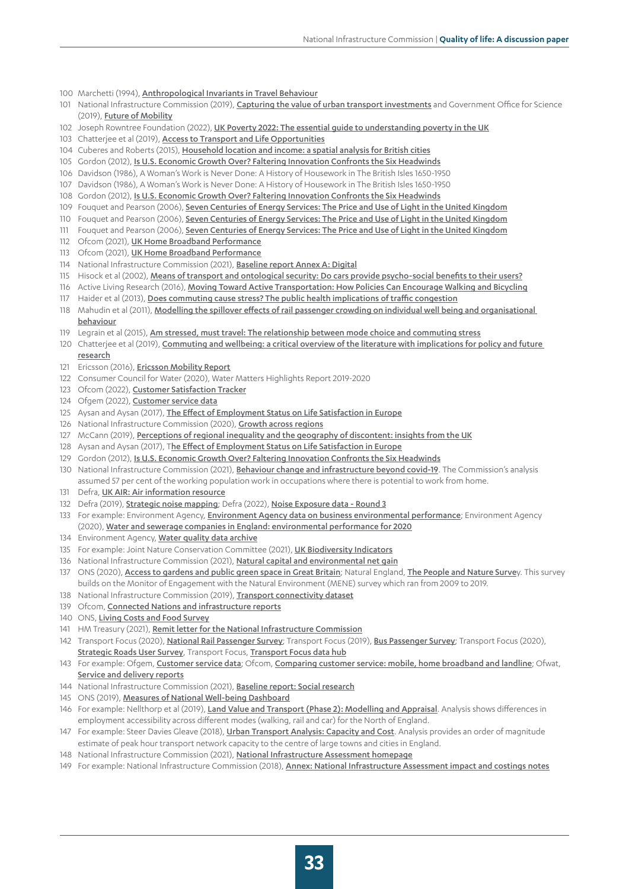- 100 Marchetti (1994), [Anthropological Invariants in Travel Behaviour](https://www.sciencedirect.com/science/article/abs/pii/0040162594900418)
- 101 National Infrastructure Commission (2019), *[Capturing the value of urban transport investments](https://nic.org.uk/studies-reports/capturing-the-value-of-urban-transport-investments/)* and Government Office for Science (2019), [Future of Mobility](https://www.gov.uk/government/publications/future-of-mobility)
- 102 Joseph Rowntree Foundation (2022), [UK Poverty 2022: The essential guide to understanding poverty in the UK](https://www.jrf.org.uk/report/uk-poverty-2022)
- 103 Chatterjee et al (2019), [Access to Transport and Life Opportunities](https://assets.publishing.service.gov.uk/government/uploads/system/uploads/attachment_data/file/831766/access_to_transport_report.pdf)
- 104 Cuberes and Roberts (2015), [Household location and income: a spatial analysis for British cities](https://eprints.whiterose.ac.uk/90800/9/Household%20location%20and%20income.pdf)
- 105 Gordon (2012), [Is U.S. Economic Growth Over? Faltering Innovation Confronts the Six Headwinds](https://www.nber.org/papers/w18315)
- 106 Davidson (1986), A Woman's Work is Never Done: A History of Housework in The British Isles 1650-1950
- 107 Davidson (1986), A Woman's Work is Never Done: A History of Housework in The British Isles 1650-1950
- 108 Gordon (2012), [Is U.S. Economic Growth Over? Faltering Innovation Confronts the Six Headwinds](https://www.nber.org/papers/w18315)
- 109 Fouquet and Pearson (2006), [Seven Centuries of Energy Services: The Price and Use of Light in the United Kingdom](https://www.researchgate.net/publication/227349575_Seven_Centuries_of_Energy_Services_The_Price_and_Use_of_Light_in_the_United_Kingdom_1300-2000)
- 110 Fouquet and Pearson (2006), [Seven Centuries of Energy Services: The Price and Use of Light in the United Kingdom](https://www.researchgate.net/publication/227349575_Seven_Centuries_of_Energy_Services_The_Price_and_Use_of_Light_in_the_United_Kingdom_1300-2000)
- 111 Fouquet and Pearson (2006), [Seven Centuries of Energy Services: The Price and Use of Light in the United Kingdom](https://www.researchgate.net/publication/227349575_Seven_Centuries_of_Energy_Services_The_Price_and_Use_of_Light_in_the_United_Kingdom_1300-2000)
- 112 Ofcom (2021), [UK Home Broadband Performance](https://www.ofcom.org.uk/__data/assets/pdf_file/0020/224192/uk-home-broadband-performance-technical-report-march-2021-data.pdf)
- 113 Ofcom (2021), [UK Home Broadband Performance](https://www.ofcom.org.uk/__data/assets/pdf_file/0020/224192/uk-home-broadband-performance-technical-report-march-2021-data.pdf)
- 114 National Infrastructure Commission (2021), [Baseline report Annex A: Digital](https://nic.org.uk/studies-reports/national-infrastructure-assessment/baseline-report/baseline-report-annex-a-digital/)
- 115 Hisock et al (2002), [Means of transport and ontological security: Do cars provide psycho-social benefits to their users?](file:///C:/Users/zziani/Downloads/hiscock02transportationresdtranspos.pdf)
- 116 Active Living Research (2016), [Moving Toward Active Transportation: How Policies Can Encourage Walking and Bicycling](https://activelivingresearch.org/sites/activelivingresearch.org/files/ALR_Review_ActiveTransport_January2016.pdf)
- 117 Haider et al (2013), [Does commuting cause stress? The public health implications of traffic congestion](https://deliverypdf.ssrn.com/delivery.php?ID=958073117127104004009102093096120069125005091051065087123098018010087005031119085103030041056026022014118074102087008064091117108051086036081071075123028004116069039018035121093083003124067081079080080104086094104006118109108085075025125104000126092&EXT=pdf&INDEX=TRUE)
- 118 Mahudin et al (2011), [Modelling the spillover effects of rail passenger crowding on individual well being and organisational](https://www.witpress.com/Secure/elibrary/papers/UT11/UT11020FU1.pdf)  [behaviour](https://www.witpress.com/Secure/elibrary/papers/UT11/UT11020FU1.pdf)
- 119 Legrain et al (2015), [Am stressed, must travel: The relationship between mode choice and commuting stress](https://tram.mcgill.ca/Research/Publications/Commute%20Stress.pdf)
- 120 Chatterjee et al (2019), Commuting and wellbeing: a critical overview of the literature with implications for policy and future
- 121 Ericsson (2016), **[Ericsson Mobility Report](https://www.ericsson.com/en/press-releases/2016/2/streaming-delays-mentally-taxing-for-smartphone-users-ericsson-mobility-report)**

[research](https://core.ac.uk/download/pdf/223214133.pdf)

- 122 Consumer Council for Water (2020), [Water Matters Highlights Report 2019-2020](https://www.ccwater.org.uk/wp-content/uploads/2020/08/Water-Matters-Highlights-report-2019-2020.pdf)
- 123 Ofcom (2022), [Customer Satisfaction Tracker](https://www.ofcom.org.uk/research-and-data/data/statistics/stats22)
- 124 Ofgem (2022), [Customer service data](https://www.ofgem.gov.uk/customer-service-data)
- 125 Aysan and Aysan (2017), [The Effect of Employment Status on Life Satisfaction in Europe](https://www.researchgate.net/publication/314262260_The_Effect_of_Employment_Status_on_Life_Satisfaction_in_Europe)
- 126 National Infrastructure Commission (2020), [Growth across regions](https://nic.org.uk/studies-reports/growth-across-regions/)
- 127 McCann (2019), [Perceptions of regional inequality and the geography of discontent: insights from the UK](https://www.tandfonline.com/doi/full/10.1080/00343404.2019.1619928)
- 128 Aysan and Aysan (2017), T[he Effect of Employment Status on Life Satisfaction in Europe](https://www.researchgate.net/publication/314262260_The_Effect_of_Employment_Status_on_Life_Satisfaction_in_Europe)
- 129 Gordon (2012), [Is U.S. Economic Growth Over? Faltering Innovation Confronts the Six Headwinds](https://www.nber.org/papers/w18315)
- 130 National Infrastructure Commission (2021), [Behaviour change and infrastructure beyond covid-19](https://nic.org.uk/studies-reports/behaviour-change-and-infrastructure-beyond-covid-19/behaviour-change-scenario-development-methodology/). The Commission's analysis assumed 57 per cent of the working population work in occupations where there is potential to work from home.
- 131 Defra, [UK AIR: Air information resource](https://uk-air.defra.gov.uk/)
- 132 Defra (2019), [Strategic noise mapping](https://www.gov.uk/government/publications/strategic-noise-mapping-2019); Defra (2022), [Noise Exposure data Round 3](https://data.gov.uk/dataset/d461bbc1-eb51-4852-8a9a-45dbf28aa230/noise-exposure-data-round-3)
- 133 For example: Environment Agency, [Environment Agency data on business environmental performance](https://www.gov.uk/government/collections/environment-agency-data-on-business-environmental-performance); Environment Agency (2020), [Water and sewerage companies in England: environmental performance for 2020](https://www.gov.uk/government/publications/water-and-sewerage-companies-in-england-environmental-performance-report-2020)
- 134 Environment Agency, [Water quality data archive](https://environment.data.gov.uk/water-quality/view/landing)
- 135 For example: Joint Nature Conservation Committee (2021), LIK Biodiversity Indicators
- 136 National Infrastructure Commission (2021), [Natural capital and environmental net gain](https://nic.org.uk/app/uploads/Updated-Natural-Capital-Paper-Web-Version-Feb-2021.pdf)
- 137 ONS (2020), [Access to gardens and public green space in Great Britain](https://www.ons.gov.uk/releases/accesstogardensandpublicgreenspaceingreatbritain); Natural England, [The People and Nature Surve](https://www.gov.uk/government/collections/people-and-nature-survey-for-england)y. This survey builds on the Monitor of Engagement with the Natural Environment (MENE) survey which ran from 2009 to 2019.
- 138 National Infrastructure Commission (2019), [Transport connectivity dataset](https://nic.org.uk/studies-reports/national-infrastructure-assessment/national-infrastructure-assessment-1/dataset/)
- 139 Ofcom, [Connected Nations and infrastructure reports](https://www.ofcom.org.uk/research-and-data/multi-sector-research/infrastructure-research)
- 140 ONS, [Living Costs and Food Survey](https://www.ons.gov.uk/peoplepopulationandcommunity/personalandhouseholdfinances/expenditure)
- 141 HM Treasury (2021), [Remit letter for the National Infrastructure Commission](https://assets.publishing.service.gov.uk/government/uploads/system/uploads/attachment_data/file/1028591/CX_LETTER_NIC_REMIT_271021.pdf)
- 142 Transport Focus (2020), [National Rail Passenger Survey](https://d3cez36w5wymxj.cloudfront.net/wp-content/uploads/2020/07/16180916/Main-Report-Spring-2020.pdf); Transport Focus (2019), [Bus Passenger Survey](https://d3cez36w5wymxj.cloudfront.net/wp-content/uploads/2020/03/08184047/Bus-passenger-survey-autumn-2019-main-report.pdf); Transport Focus (2020), [Strategic Roads User Survey](https://d3cez36w5wymxj.cloudfront.net/wp-content/uploads/2020/07/21121252/SRUS-Report-2020.pdf), Transport Focus, [Transport Focus data hub](https://transportfocusdatahub.org.uk/)
- 143 For example: Ofgem, [Customer service data](https://www.ofgem.gov.uk/customer-service-data); Ofcom, [Comparing customer service: mobile, home broadband and landline](https://www.ofcom.org.uk/phones-telecoms-and-internet/advice-for-consumers/quality-of-service/report); Ofwat, [Service and delivery reports](https://www.ofwat.gov.uk/regulated-companies/company-obligations/outcomes/service-and-delivery-2020-21/)
- 144 National Infrastructure Commission (2021), [Baseline report: Social research](https://nic.org.uk/studies-reports/national-infrastructure-assessment/baseline-report/baseline-report-social-research/)
- 145 ONS (2019), [Measures of National Well-being Dashboard](https://www.ons.gov.uk/peoplepopulationandcommunity/wellbeing/articles/measuresofnationalwellbeingdashboard/2018-04-25)
- 146 For example: Nellthorp et al (2019), [Land Value and Transport \(Phase 2\): Modelling and Appraisal](https://transportforthenorth.com/reports/land-value-report/). Analysis shows differences in employment accessibility across different modes (walking, rail and car) for the North of England.
- 147 For example: Steer Davies Gleave (2018), *[Urban Transport Analysis: Capacity and Cost](https://nic.org.uk/app/uploads/Urban-Transport-Analysis_-Capacity-and-Cost_Combined.pdf)*. Analysis provides an order of magnitude estimate of peak hour transport network capacity to the centre of large towns and cities in England.
- 148 National Infrastructure Commission (2021), [National Infrastructure Assessment](https://nic.org.uk/studies-reports/national-infrastructure-assessment/) homepage
- 149 For example: National Infrastructure Commission (2018), [Annex: National Infrastructure Assessment impact and costings notes](https://nic.org.uk/studies-reports/national-infrastructure-assessment/national-infrastructure-assessment-1/impact-and-costings-notes/)